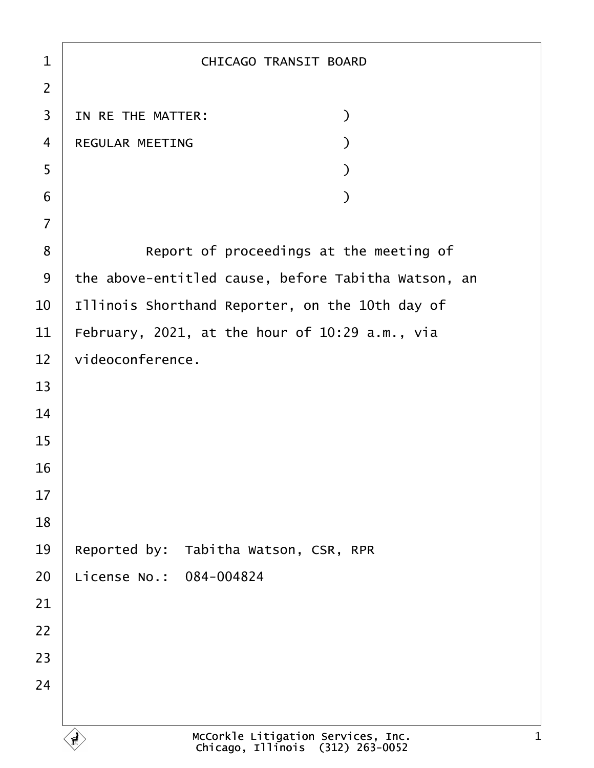1 | CHICAGO TRANSIT BOARD ·2 3 IN RE THE MATTER:  $\qquad \qquad$ ·4· ·REGULAR MEETING· · · · · · · · · ·)  $\begin{array}{c|c} 5 & \hspace{2.5cm} \end{array}$  $\begin{array}{c|c} \text{6} & \text{ } \end{array}$ ·7 8 **B** Report of proceedings at the meeting of 9 | the above-entitled cause, before Tabitha Watson, an  $10$  | Illinois Shorthand Reporter, on the 10th day of 11 | February, 2021, at the hour of 10:29 a.m., via  $12$  videoconference. 13 14 15 16 17 18 19 Reported by: Tabitha Watson, CSR, RPR 20 License No.: 084-004824 21 22 23 24 McCorkle Litigation Services, Inc. Chicago, Illinois· (312) 263-0052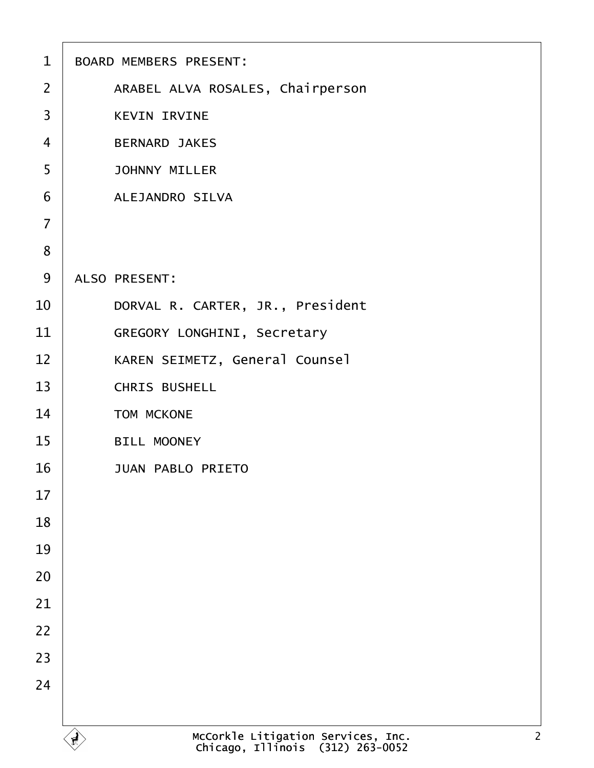| $\mathbf{1}$   | <b>BOARD MEMBERS PRESENT:</b>                                                            |
|----------------|------------------------------------------------------------------------------------------|
| $\overline{2}$ | ARABEL ALVA ROSALES, Chairperson                                                         |
| 3              | <b>KEVIN IRVINE</b>                                                                      |
| $\overline{4}$ | <b>BERNARD JAKES</b>                                                                     |
| 5              | <b>JOHNNY MILLER</b>                                                                     |
| 6              | ALEJANDRO SILVA                                                                          |
| $\overline{7}$ |                                                                                          |
| 8              |                                                                                          |
| 9              | ALSO PRESENT:                                                                            |
| 10             | DORVAL R. CARTER, JR., President                                                         |
| 11             | GREGORY LONGHINI, Secretary                                                              |
| 12             | KAREN SEIMETZ, General Counsel                                                           |
| 13             | CHRIS BUSHELL                                                                            |
| 14             | TOM MCKONE                                                                               |
| 15             | <b>BILL MOONEY</b>                                                                       |
| 16             | <b>JUAN PABLO PRIETO</b>                                                                 |
| 17             |                                                                                          |
| 18             |                                                                                          |
| 19             |                                                                                          |
| 20             |                                                                                          |
| 21             |                                                                                          |
| 22             |                                                                                          |
| 23             |                                                                                          |
| 24             |                                                                                          |
|                |                                                                                          |
|                | McCorkle Litigation Services, Inc.<br>Chicago, Illinois (312) 263-0052<br>$\overline{2}$ |

Г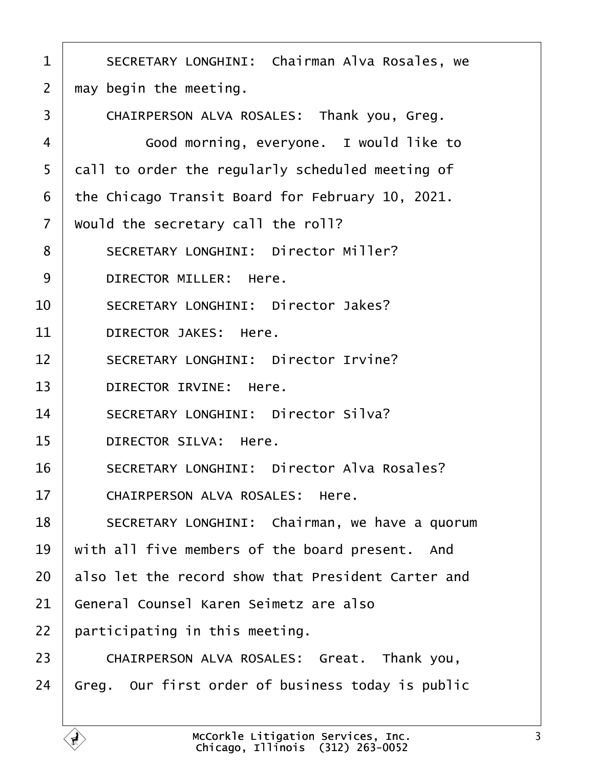<span id="page-2-0"></span>1 | SECRETARY LONGHINI: Chairman Alva Rosales, we  $2 \mid$  may begin the meeting. 3 | CHAIRPERSON ALVA ROSALES: Thank you, Greg. 4 Good morning, everyone. I would like to 5 call to order the regularly scheduled meeting of  $6$  the Chicago Transit Board for February 10, 2021.  $7$   $\mid$  would the secretary call the roll? 8 | SECRETARY LONGHINI: Director Miller? 9 DIRECTOR MILLER: Here. 10 SECRETARY LONGHINI: Director Jakes? 11 DIRECTOR JAKES: Here. 12 SECRETARY LONGHINI: Director Irvine? 13 DIRECTOR IRVINE: Here. 14 SECRETARY LONGHINI: Director Silva? 15 DIRECTOR SILVA: Here. 16 | SECRETARY LONGHINI: Director Alva Rosales? 17 CHAIRPERSON ALVA ROSALES: Here. 18 | SECRETARY LONGHINI: Chairman, we have a quorum  $19$   $\vert$  with all five members of the board present. And  $20$   $\vert$  also let the record show that President Carter and 21 General Counsel Karen Seimetz are also  $22$   $\mid$  participating in this meeting. 23 CHAIRPERSON ALVA ROSALES: Great. Thank you.  $24$   $\vert$  Greg. Our first order of business today is public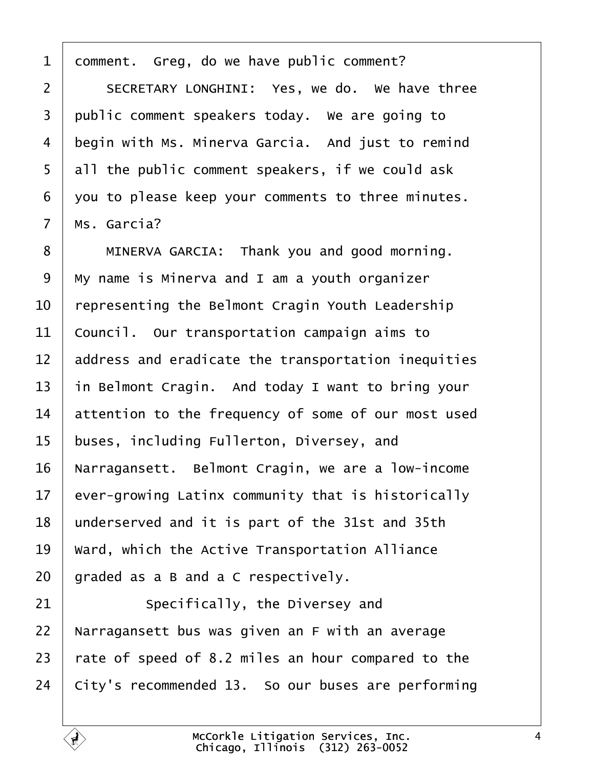<span id="page-3-0"></span> $1$  comment. Greg, do we have public comment?

2 SECRETARY LONGHINI: Yes, we do. We have three 3 public comment speakers today. We are going to 4 | begin with Ms. Minerva Garcia. And just to remind 5 all the public comment speakers, if we could ask 6 vou to please keep your comments to three minutes.  $7$  | Ms. Garcia?

8 | MINERVA GARCIA: Thank you and good morning.  $\mid$  My name is Minerva and I am a youth organizer  $\vert$  representing the Belmont Cragin Youth Leadership council. Our transportation campaign aims to  $\parallel$  address and eradicate the transportation inequities  $\parallel$  in Belmont Cragin. And today I want to bring your attention to the frequency of some of our most used 15 | buses, including Fullerton, Diversey, and 16 | Narragansett. Belmont Cragin, we are a low-income ever-growing Latinx community that is historically 18 | underserved and it is part of the 31st and 35th Ward, which the Active Transportation Alliance | graded as a B and a C respectively.

 Specifically, the Diversey and | Narragansett bus was given an F with an average  $\vert$  rate of speed of 8.2 miles an hour compared to the | City's recommended 13. So our buses are performing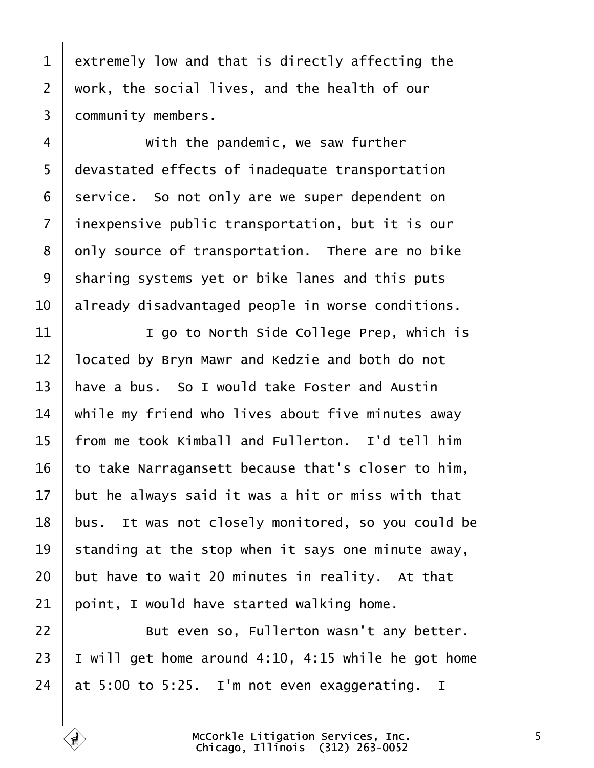<span id="page-4-0"></span> extremely low and that is directly affecting the work, the social lives, and the health of our 3 | community members.

4 With the pandemic, we saw further 5 | devastated effects of inadequate transportation service. So not only are we super dependent on 7 | inexpensive public transportation, but it is our only source of transportation. There are no bike 9 | sharing systems yet or bike lanes and this puts  $\parallel$  already disadvantaged people in worse conditions.

**I I** go to North Side College Prep, which is and  $\sqrt{12}$  and  $\sqrt{12}$  and  $\sqrt{12}$  and both do not  $\vert$  have a bus. So I would take Foster and Austin  $\parallel$  while my friend who lives about five minutes away  $\vert$  from me took Kimball and Fullerton. I'd tell him to take Narragansett because that's closer to him,  $\parallel$  but he always said it was a hit or miss with that bus. It was not closely monitored, so you could be 19 standing at the stop when it says one minute away, but have to wait 20 minutes in reality. At that point, I would have started walking home.

**But even so, Fullerton wasn't any better.**  $\vert$  I will get home around 4:10, 4:15 while he got home 24  $\vert$  at 5:00 to 5:25. I'm not even exaggerating. I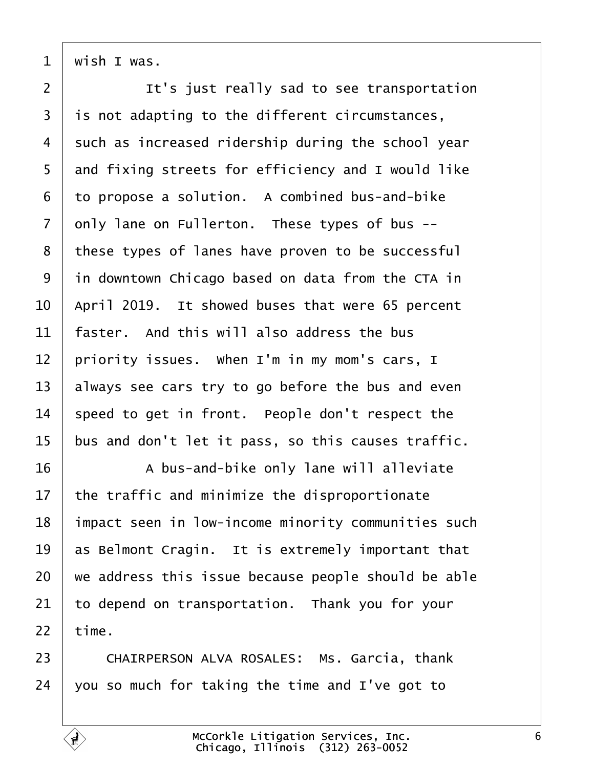<span id="page-5-0"></span>wish I was.

**I It's just really sad to see transportation**  | is not adapting to the different circumstances, such as increased ridership during the school year and fixing streets for efficiency and I would like to propose a solution. A combined bus-and-bike only lane on Fullerton. These types of bus  $-$ 8 these types of lanes have proven to be successful in downtown Chicago based on data from the CTA in | April 2019. It showed buses that were 65 percent  $\pm$  faster. And this will also address the bus priority issues. When I'm in my mom's cars, I  $\vert$  always see cars try to go before the bus and even speed to get in front. People don't respect the | bus and don't let it pass, so this causes traffic.

16 A bus-and-bike only lane will alleviate the traffic and minimize the disproportionate 18 | impact seen in low-income minority communities such  $\parallel$  as Belmont Cragin. It is extremely important that  $\vert$  we address this issue because people should be able to depend on transportation. Thank you for your time.

23 CHAIRPERSON ALVA ROSALES: Ms. Garcia, thank  $\vert$  you so much for taking the time and I've got to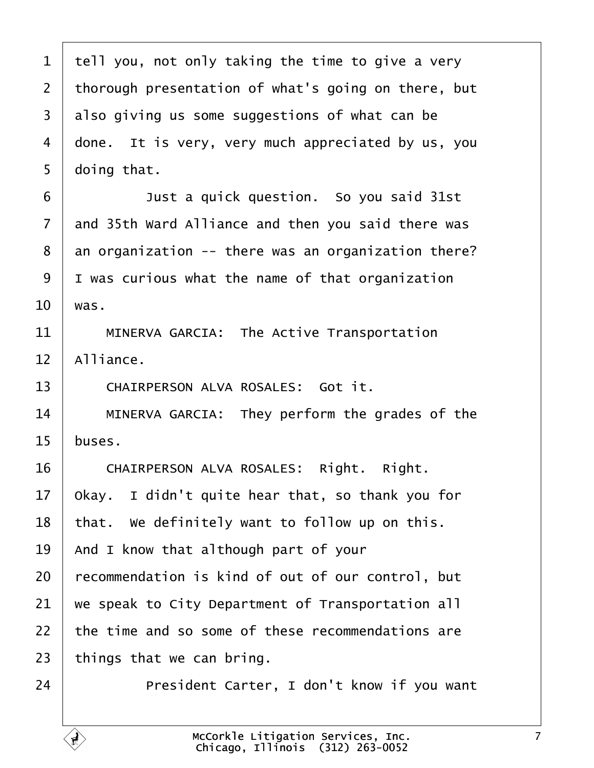<span id="page-6-0"></span> tell you, not only taking the time to give a very thorough presentation of what's going on there, but also giving us some suggestions of what can be 4 | done. It is very, very much appreciated by us, you  $5 \mid$  doing that. **Just a quick question.** So you said 31st and 35th Ward Alliance and then you said there was | an organization -- there was an organization there? | I was curious what the name of that organization was. 11 | MINERVA GARCIA: The Active Transportation Alliance. 13 CHAIRPERSON ALVA ROSALES: Got it. **I** MINERVA GARCIA: They perform the grades of the buses. 16 | CHAIRPERSON ALVA ROSALES: Right. Right. | Okay. I didn't quite hear that, so thank you for | that. We definitely want to follow up on this. | And I know that although part of your | recommendation is kind of out of our control, but  $\parallel$  we speak to City Department of Transportation all  $\pm$  the time and so some of these recommendations are things that we can bring. **President Carter, I don't know if you want**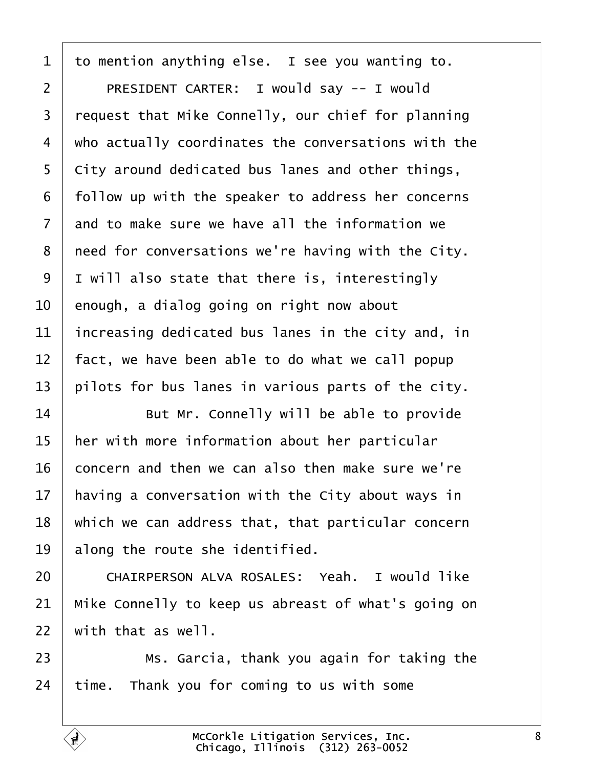<span id="page-7-0"></span> to mention anything else. I see you wanting to. 2 | PRESIDENT CARTER: I would say -- I would | request that Mike Connelly, our chief for planning  $\mid$  who actually coordinates the conversations with the  $\vert$  City around dedicated bus lanes and other things,  $\mid$  follow up with the speaker to address her concerns and to make sure we have all the information we | need for conversations we're having with the City. | I will also state that there is, interestingly enough, a dialog going on right now about | increasing dedicated bus lanes in the city and, in  $\vert$  fact, we have been able to do what we call popup pilots for bus lanes in various parts of the city.

 **But Mr.** Connelly will be able to provide her with more information about her particular  $\vert$  concern and then we can also then make sure we're | having a conversation with the City about ways in  $\mid$  which we can address that, that particular concern along the route she identified.

20 CHAIRPERSON ALVA ROSALES: Yeah. I would like  $\parallel$  Mike Connelly to keep us abreast of what's going on with that as well.

**8** Ms. Garcia, thank you again for taking the time. Thank you for coming to us with some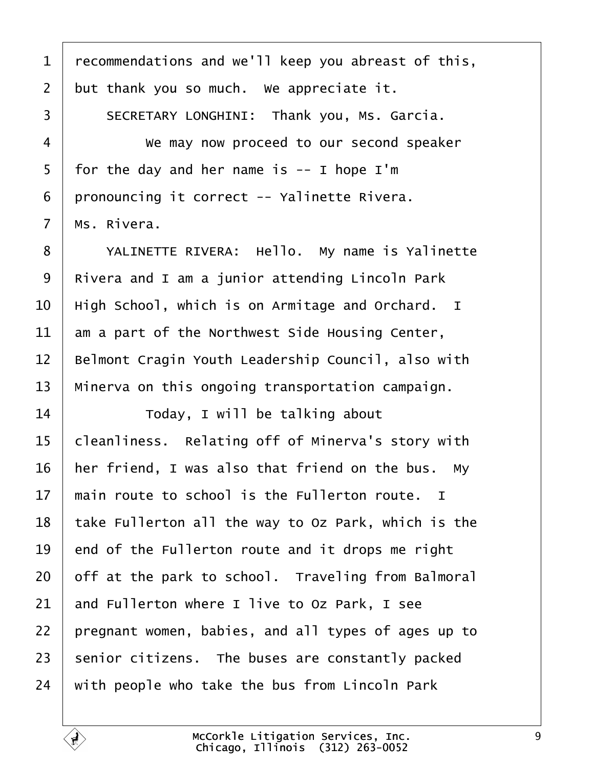<span id="page-8-0"></span>1 | recommendations and we'll keep you abreast of this, but thank you so much. We appreciate it. 3 SECRETARY LONGHINI: Thank you, Ms. Garcia. 4 We may now proceed to our second speaker  $5 \mid$  for the day and her name is -- I hope I'm | pronouncing it correct -- Yalinette Rivera.  $ms$ . Rivera. 8 | YALINETTE RIVERA: Hello. My name is Yalinette Rivera and I am a junior attending Lincoln Park  $\vert$  High School, which is on Armitage and Orchard. I am a part of the Northwest Side Housing Center, 12 | Belmont Cragin Youth Leadership Council, also with | Minerva on this ongoing transportation campaign. 14· · · · · · Today, I will be talking about cleanliness. Relating off of Minerva's story with | her friend, I was also that friend on the bus. My  $\parallel$  main route to school is the Fullerton route. I | take Fullerton all the way to Oz Park, which is the end of the Fullerton route and it drops me right off at the park to school. Traveling from Balmoral and Fullerton where I live to Oz Park, I see | pregnant women, babies, and all types of ages up to senior citizens. The buses are constantly packed with people who take the bus from Lincoln Park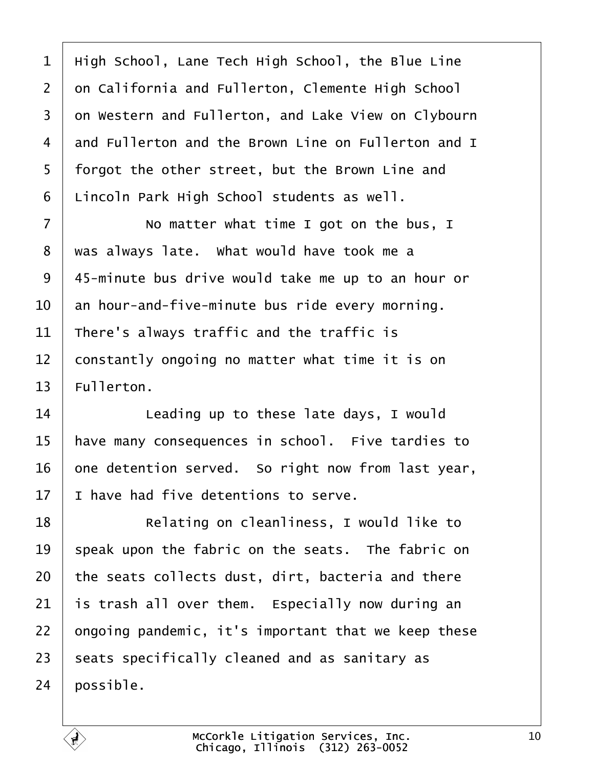<span id="page-9-0"></span> $1$  | High School, Lane Tech High School, the Blue Line 2 on California and Fullerton, Clemente High School 3 on Western and Fullerton, and Lake View on Clybourn 4 and Fullerton and the Brown Line on Fullerton and I 5 | forgot the other street, but the Brown Line and  $6$  | Lincoln Park High School students as well.

7 | No matter what time I got on the bus, I  $8$   $\mid$  was always late. What would have took me a 9 | 45-minute bus drive would take me up to an hour or  $10$   $\vert$  an hour-and-five-minute bus ride every morning. 11 There's always traffic and the traffic is  $12$  constantly ongoing no matter what time it is on  $13$  Fullerton.

  $\parallel$  **Leading up to these late days, I would** 15 | have many consequences in school. Five tardies to one detention served. So right now from last year,  $\pm$  I have had five detentions to serve.

18 | Relating on cleanliness, I would like to  $\parallel$  speak upon the fabric on the seats. The fabric on the seats collects dust, dirt, bacteria and there is trash all over them. Especially now during an  $\vert$  ongoing pandemic, it's important that we keep these seats specifically cleaned and as sanitary as  $24 \mid$  possible.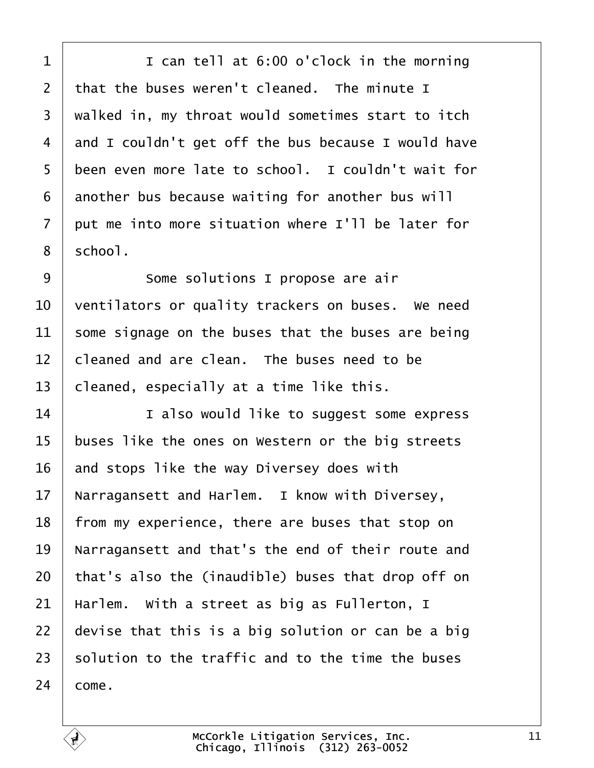<span id="page-10-0"></span>1 I can tell at 6:00 o'clock in the morning that the buses weren't cleaned. The minute I 3 | walked in, my throat would sometimes start to itch and I couldn't get off the bus because I would have 5 been even more late to school. I couldn't wait for another bus because waiting for another bus will  $\vert$  put me into more situation where I'll be later for  $8 \mid$  school.

9 | Some solutions I propose are air  $\,$  ventilators or quality trackers on buses. We need some signage on the buses that the buses are being  $\vert$  cleaned and are clean. The buses need to be cleaned, especially at a time like this.

**I I** also would like to suggest some express buses like the ones on Western or the big streets and stops like the way Diversey does with Narragansett and Harlem. I know with Diversey, | from my experience, there are buses that stop on 19 | Narragansett and that's the end of their route and | that's also the (inaudible) buses that drop off on | Harlem. With a street as big as Fullerton, I  $\vert$  devise that this is a big solution or can be a big solution to the traffic and to the time the buses  $24 \mid \text{cone}$ .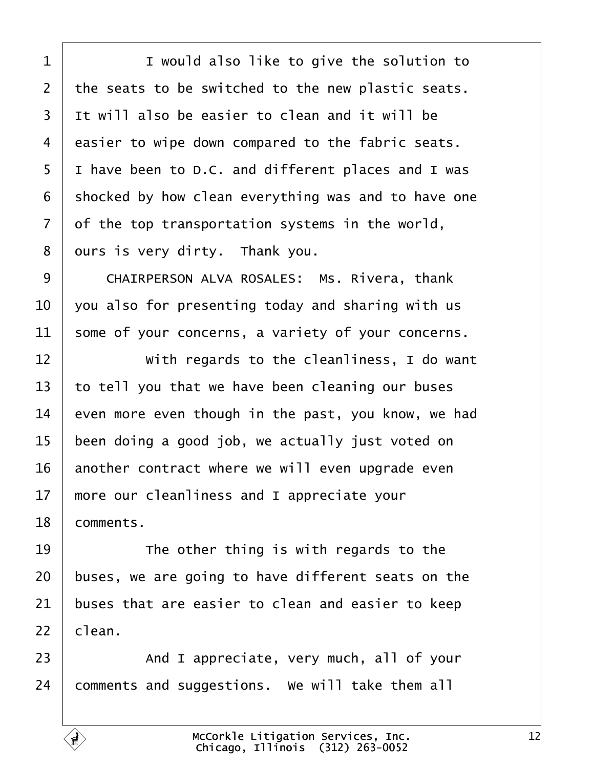<span id="page-11-0"></span>1 I would also like to give the solution to the seats to be switched to the new plastic seats. 3 It will also be easier to clean and it will be easier to wipe down compared to the fabric seats. I have been to D.C. and different places and I was shocked by how clean everything was and to have one of the top transportation systems in the world, ours is very dirty. Thank you.

9 CHAIRPERSON ALVA ROSALES: Ms. Rivera, thank  $\vert$  you also for presenting today and sharing with us some of your concerns, a variety of your concerns.

  $\vert$   $\vert$  with regards to the cleanliness, I do want to tell you that we have been cleaning our buses 14 even more even though in the past, you know, we had been doing a good job, we actually just voted on another contract where we will even upgrade even  $\parallel$  more our cleanliness and I appreciate your 18 | comments.

  $\parallel$  **The other thing is with regards to the**  buses, we are going to have different seats on the buses that are easier to clean and easier to keep clean.

23 And I appreciate, very much, all of your comments and suggestions. We will take them all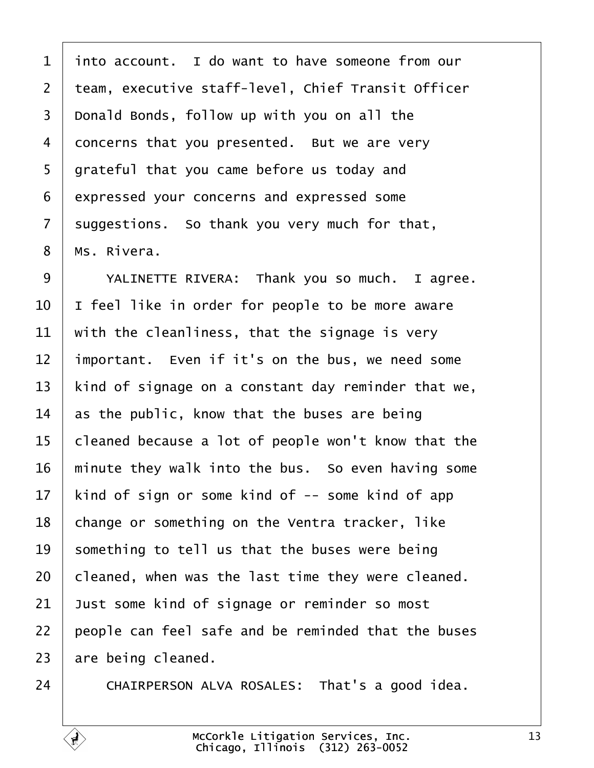<span id="page-12-0"></span> into account. I do want to have someone from our 2 | team, executive staff-level, Chief Transit Officer Donald Bonds, follow up with you on all the 4 concerns that you presented. But we are very | grateful that you came before us today and expressed your concerns and expressed some suggestions. So thank you very much for that, | Ms. Rivera.

9 | YALINETTE RIVERA: Thank you so much. I agree.  $\vert$  I feel like in order for people to be more aware  $\parallel$  with the cleanliness, that the signage is very | important. Even if it's on the bus, we need some 13 | kind of signage on a constant day reminder that we,  $\vert$  as the public, know that the buses are being cleaned because a lot of people won't know that the  $\parallel$  minute they walk into the bus. So even having some | kind of sign or some kind of -- some kind of app change or something on the Ventra tracker, like 19 something to tell us that the buses were being cleaned, when was the last time they were cleaned. Just some kind of signage or reminder so most people can feel safe and be reminded that the buses are being cleaned.

24 CHAIRPERSON ALVA ROSALES: That's a good idea.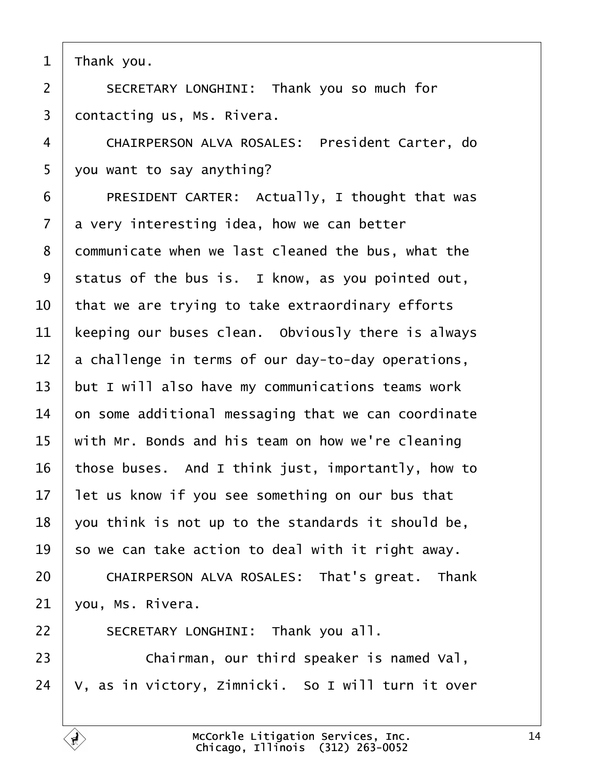<span id="page-13-0"></span>Thank you.

2 | SECRETARY LONGHINI: Thank you so much for contacting us, Ms. Rivera.

4 | CHAIRPERSON ALVA ROSALES: President Carter, do  $5 \mid$  you want to say anything?

6 | PRESIDENT CARTER: Actually, I thought that was a very interesting idea, how we can better 8 communicate when we last cleaned the bus, what the status of the bus is. I know, as you pointed out,  $\vert$  that we are trying to take extraordinary efforts | keeping our buses clean. Obviously there is always a challenge in terms of our day-to-day operations, but I will also have my communications teams work  $\vert$  on some additional messaging that we can coordinate with Mr. Bonds and his team on how we're cleaning those buses. And I think just, importantly, how to | let us know if you see something on our bus that you think is not up to the standards it should be,  $\vert$  so we can take action to deal with it right away. 20 CHAIRPERSON ALVA ROSALES: That's great. Thank

vou, Ms. Rivera.

22 | SECRETARY LONGHINI: Thank you all.

**Chairman, our third speaker is named Val**,  $24 \mid V$ , as in victory, Zimnicki. So I will turn it over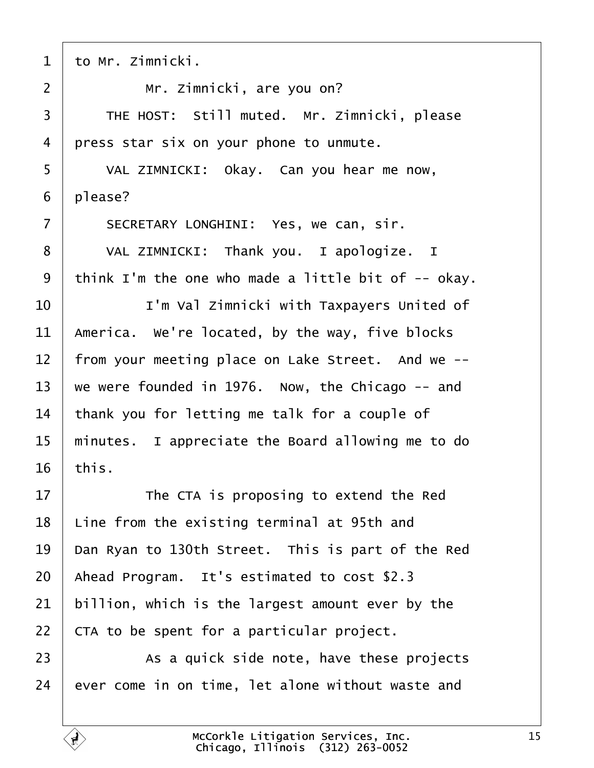<span id="page-14-0"></span>

| $\mathbf{1}$   | to Mr. Zimnicki.                                    |
|----------------|-----------------------------------------------------|
| $\overline{2}$ | Mr. Zimnicki, are you on?                           |
| 3              | THE HOST: Still muted. Mr. Zimnicki, please         |
| 4              | press star six on your phone to unmute.             |
| 5              | VAL ZIMNICKI: Okay. Can you hear me now,            |
| 6              | please?                                             |
| $\overline{7}$ | SECRETARY LONGHINI: Yes, we can, sir.               |
| 8              | VAL ZIMNICKI: Thank you. I apologize. I             |
| 9              | think I'm the one who made a little bit of -- okay. |
| 10             | I'm Val Zimnicki with Taxpayers United of           |
| 11             | America. We're located, by the way, five blocks     |
| 12             | from your meeting place on Lake Street. And we --   |
| 13             | we were founded in 1976. Now, the Chicago -- and    |
| 14             | thank you for letting me talk for a couple of       |
| 15             | minutes. I appreciate the Board allowing me to do   |
| 16             | this.                                               |
| 17             | The CTA is proposing to extend the Red              |
| 18             | Line from the existing terminal at 95th and         |
| 19             | Dan Ryan to 130th Street. This is part of the Red   |
| 20             | Ahead Program. It's estimated to cost \$2.3         |
| 21             | billion, which is the largest amount ever by the    |
| 22             | CTA to be spent for a particular project.           |
| 23             | As a quick side note, have these projects           |
| 24             | ever come in on time, let alone without waste and   |

 $\hat{\mathbf{r}}$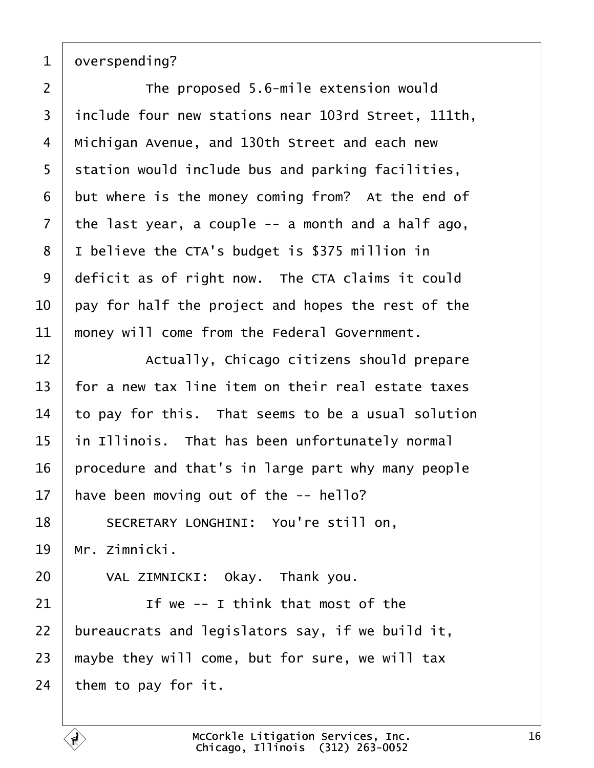<span id="page-15-0"></span>

overspending?

2 The proposed 5.6-mile extension would 3 include four new stations near 103rd Street, 111th, | Michigan Avenue, and 130th Street and each new station would include bus and parking facilities, but where is the money coming from? At the end of the last year, a couple  $-$  a month and a half ago, 8 I I believe the CTA's budget is \$375 million in deficit as of right now. The CTA claims it could  $\vert$  pay for half the project and hopes the rest of the  $\parallel$  money will come from the Federal Government.

**Actually, Chicago citizens should prepare**   $\mid$  for a new tax line item on their real estate taxes to pay for this. That seems to be a usual solution in Illinois. That has been unfortunately normal | procedure and that's in large part why many people have been moving out of the  $-$ - hello?

18 SECRETARY LONGHINI: You're still on,  $19 \mid Mr.$  Zimnicki.

20 VAL ZIMNICKI: Okay. Thank you.

  $\parallel$  **If we -- I think that most of the**  | bureaucrats and legislators say, if we build it, maybe they will come, but for sure, we will tax them to pay for it.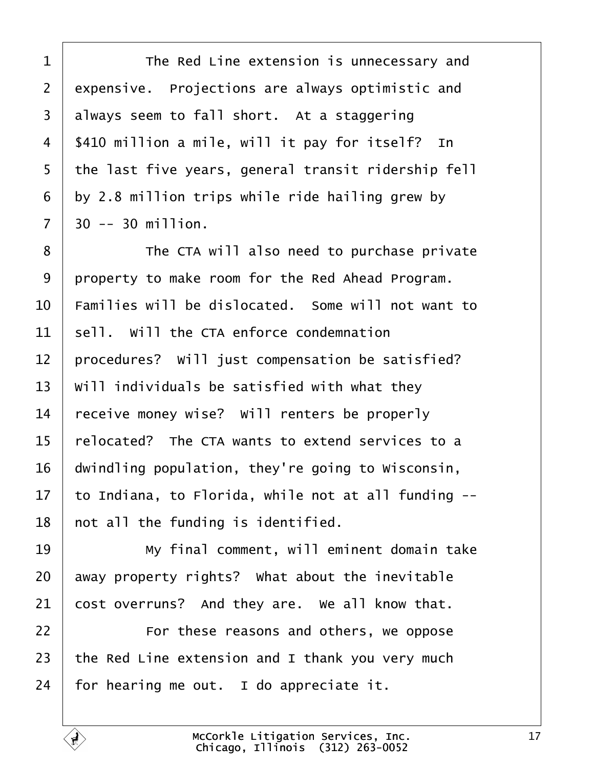<span id="page-16-0"></span>1 The Red Line extension is unnecessary and expensive. Projections are always optimistic and always seem to fall short. At a staggering  $\frac{1}{2}$  \$410 million a mile, will it pay for itself? In 5 | the last five years, general transit ridership fell by 2.8 million trips while ride hailing grew by  $7 \mid 30 \sim 30 \text{ million}$ .

**I** The CTA will also need to purchase private property to make room for the Red Ahead Program.  $\pm$  Families will be dislocated. Some will not want to sell. Will the CTA enforce condemnation | procedures? Will just compensation be satisfied? Will individuals be satisfied with what they receive money wise? Will renters be properly  $\vert$  relocated? The CTA wants to extend services to a  $\vert$  dwindling population, they're going to Wisconsin,  $\vert$  to Indiana, to Florida, while not at all funding  $-$ -| not all the funding is identified.

19· · · · · · My final comment, will eminent domain take away property rights? What about the inevitable cost overruns? And they are. We all know that.

**I** *For these reasons and others, we oppose* 23  $\vert$  the Red Line extension and I thank you very much for hearing me out. I do appreciate it.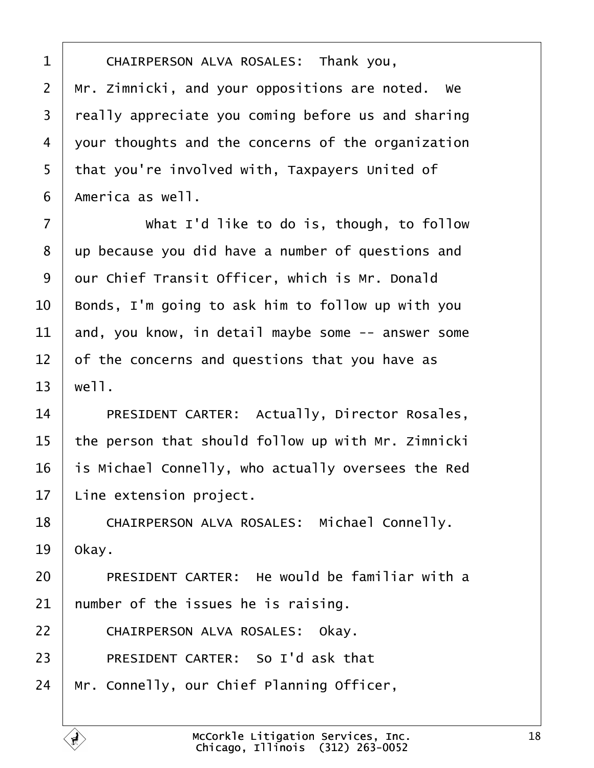<span id="page-17-0"></span>1 CHAIRPERSON ALVA ROSALES: Thank you,  $2 \mid$  Mr. Zimnicki, and your oppositions are noted. We 3 | really appreciate you coming before us and sharing  $4$  vour thoughts and the concerns of the organization 5 | that you're involved with, Taxpayers United of  $6$  | America as well.

7 What I'd like to do is, though, to follow 8 | up because you did have a number of questions and 9 | our Chief Transit Officer, which is Mr. Donald  $10$   $\vert$  Bonds, I'm going to ask him to follow up with you  $11$  and, you know, in detail maybe some  $-$  answer some  $12$  of the concerns and questions that you have as  $13 \mid$  well.

14 PRESIDENT CARTER: Actually, Director Rosales,  $15$  | the person that should follow up with Mr. Zimnicki 16 is Michael Connelly, who actually oversees the Red  $17$  Line extension project.

18 | CHAIRPERSON ALVA ROSALES: Michael Connelly.  $19$  okay.

20 PRESIDENT CARTER: He would be familiar with a  $21$  number of the issues he is raising.

22 | CHAIRPERSON ALVA ROSALES: Okay.

23 PRESIDENT CARTER: So I'd ask that

 $24$  | Mr. Connelly, our Chief Planning Officer,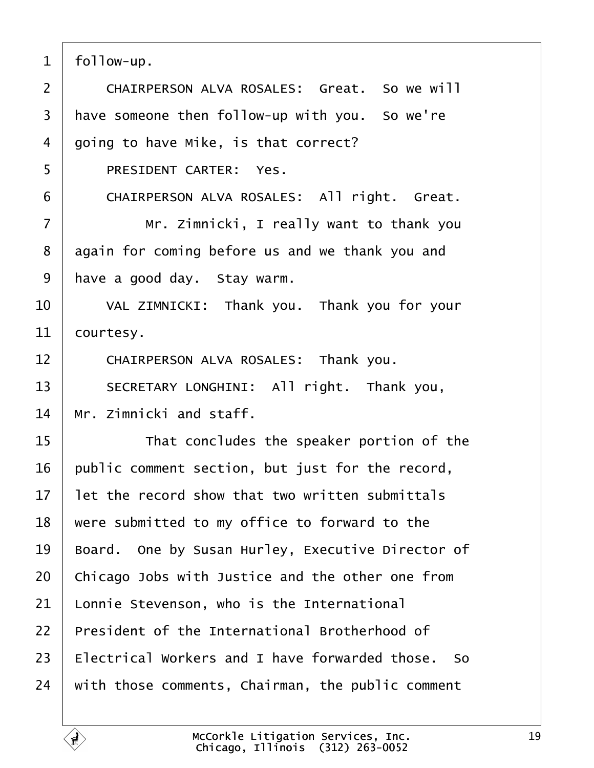<span id="page-18-0"></span> $1$  | follow-up. 2 CHAIRPERSON ALVA ROSALES: Great. So we will  $3$  have someone then follow-up with you. So we're  $4 \mid$  going to have Mike, is that correct? 5 | PRESIDENT CARTER: Yes. 6 | CHAIRPERSON ALVA ROSALES: All right. Great. ·7· · · · · · Mr. Zimnicki, I really want to thank you 8 again for coming before us and we thank you and  $9$  have a good day. Stay warm. 10 VAL ZIMNICKI: Thank you. Thank you for your  $11$  courtesy. 12 CHAIRPERSON ALVA ROSALES: Thank you. 13 SECRETARY LONGHINI: All right. Thank you,  $14$   $\parallel$  Mr.  $7$ imnicki and staff. 15 **If any 11 respeaker portion of the speaker** portion of the  $16$  public comment section, but just for the record,  $17$  at the record show that two written submittals  $18$   $\mid$  were submitted to my office to forward to the 19 | Board. One by Susan Hurley, Executive Director of  $20$   $\vert$  Chicago Jobs with Justice and the other one from  $21$  Lonnie Stevenson, who is the International  $22$   $\perp$  President of the International Brotherhood of  $23$  | Electrical Workers and I have forwarded those. So  $24$  with those comments, Chairman, the public comment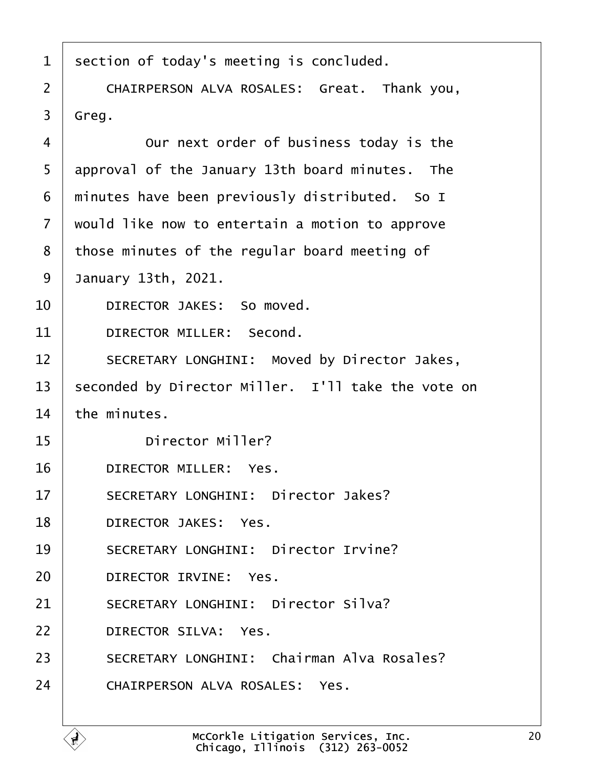<span id="page-19-0"></span>

| $\mathbf{1}$      | section of today's meeting is concluded.           |
|-------------------|----------------------------------------------------|
| $\overline{2}$    | CHAIRPERSON ALVA ROSALES: Great. Thank you,        |
| 3                 | Greg.                                              |
| 4                 | Our next order of business today is the            |
| 5                 | approval of the January 13th board minutes. The    |
| 6                 | minutes have been previously distributed. So I     |
| $\overline{7}$    | would like now to entertain a motion to approve    |
| 8                 | those minutes of the regular board meeting of      |
| 9                 | January 13th, 2021.                                |
| 10                | DIRECTOR JAKES: So moved.                          |
| 11                | DIRECTOR MILLER: Second.                           |
| $12 \overline{ }$ | SECRETARY LONGHINI: Moved by Director Jakes,       |
| 13                | seconded by Director Miller. I'll take the vote on |
| 14                | the minutes.                                       |
| 15                | Director Miller?                                   |
| 16                | DIRECTOR MILLER: Yes.                              |
| 17                | SECRETARY LONGHINI: Director Jakes?                |
| 18                | DIRECTOR JAKES: Yes.                               |
| 19                | SECRETARY LONGHINI: Director Irvine?               |
| 20                | DIRECTOR IRVINE: Yes.                              |
| 21                | SECRETARY LONGHINI: Director Silva?                |
| 22                | DIRECTOR SILVA: Yes.                               |
| 23                | SECRETARY LONGHINI: Chairman Alva Rosales?         |
| 24                | CHAIRPERSON ALVA ROSALES: Yes.                     |
|                   |                                                    |

ſ.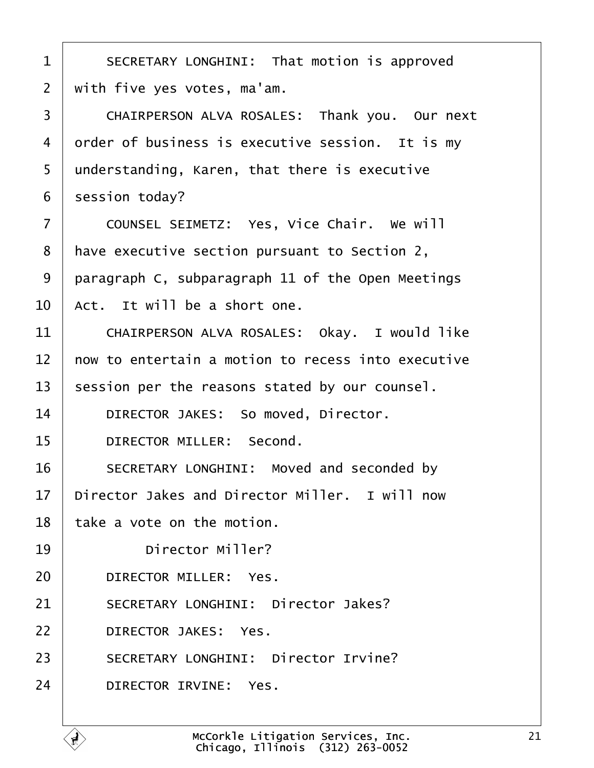<span id="page-20-0"></span>1 | SECRETARY LONGHINI: That motion is approved  $2$  | with five yes votes, ma'am. 3 | CHAIRPERSON ALVA ROSALES: Thank you. Our next  $4$  order of business is executive session. It is my 5 | understanding, Karen, that there is executive  $6 \mid$  session today? 7 | COUNSEL SEIMETZ: Yes, Vice Chair. We will 8 | have executive section pursuant to Section 2, 9 | paragraph C, subparagraph 11 of the Open Meetings  $10 \mid$  Act. It will be a short one. 11 CHAIRPERSON ALVA ROSALES: Okav. I would like  $12$   $\parallel$  now to entertain a motion to recess into executive  $13$  session per the reasons stated by our counsel. 14 DIRECTOR JAKES: So moved, Director. 15 **DIRECTOR MILLER:** Second. 16 SECRETARY LONGHINI: Moved and seconded by  $17$   $\vert$  Director Jakes and Director Miller. I will now  $18$  | take a vote on the motion. 19 Director Miller? 20 DIRECTOR MILLER: Yes. 21 SECRETARY LONGHINI: Director Jakes? 22 DIRECTOR JAKES: Yes. 23 SECRETARY LONGHINI: Director Irvine? 24 DIRECTOR IRVINE: Yes.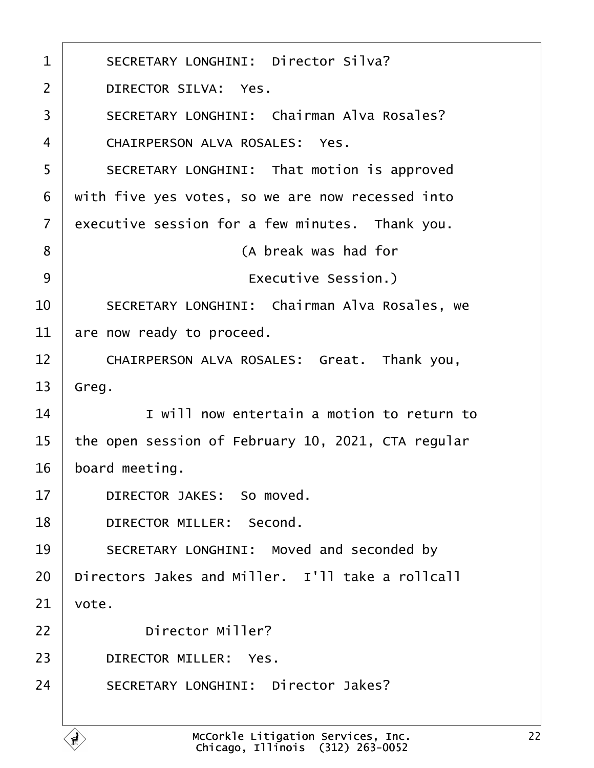<span id="page-21-0"></span>

| $\mathbf 1$       | SECRETARY LONGHINI: Director Silva?                                                    |
|-------------------|----------------------------------------------------------------------------------------|
| $\overline{2}$    | DIRECTOR SILVA: Yes.                                                                   |
| 3                 | SECRETARY LONGHINI: Chairman Alva Rosales?                                             |
| 4                 | CHAIRPERSON ALVA ROSALES: Yes.                                                         |
| 5                 | SECRETARY LONGHINI: That motion is approved                                            |
| 6                 | with five yes votes, so we are now recessed into                                       |
| $\overline{7}$    | executive session for a few minutes. Thank you.                                        |
| 8                 | (A break was had for                                                                   |
| 9                 | Executive Session.)                                                                    |
| 10                | SECRETARY LONGHINI: Chairman Alva Rosales, we                                          |
| 11                | are now ready to proceed.                                                              |
| $12 \overline{ }$ | CHAIRPERSON ALVA ROSALES: Great. Thank you,                                            |
| 13                | Greg.                                                                                  |
| 14                | I will now entertain a motion to return to                                             |
| 15                | the open session of February 10, 2021, CTA regular                                     |
| 16                | board meeting.                                                                         |
| 17                | DIRECTOR JAKES: So moved.                                                              |
| 18                | Second.<br>DIRECTOR MILLER:                                                            |
| 19                | SECRETARY LONGHINI: Moved and seconded by                                              |
| 20                | Directors Jakes and Miller. I'll take a rollcall                                       |
| 21                | vote.                                                                                  |
| 22                | Director Miller?                                                                       |
| 23                | DIRECTOR MILLER:<br>Yes.                                                               |
| 24                | SECRETARY LONGHINI: Director Jakes?                                                    |
|                   | McCorkle Litigation Services, Inc.<br>Chicago. Illinois (312) 263-0052<br>$\mathbf{r}$ |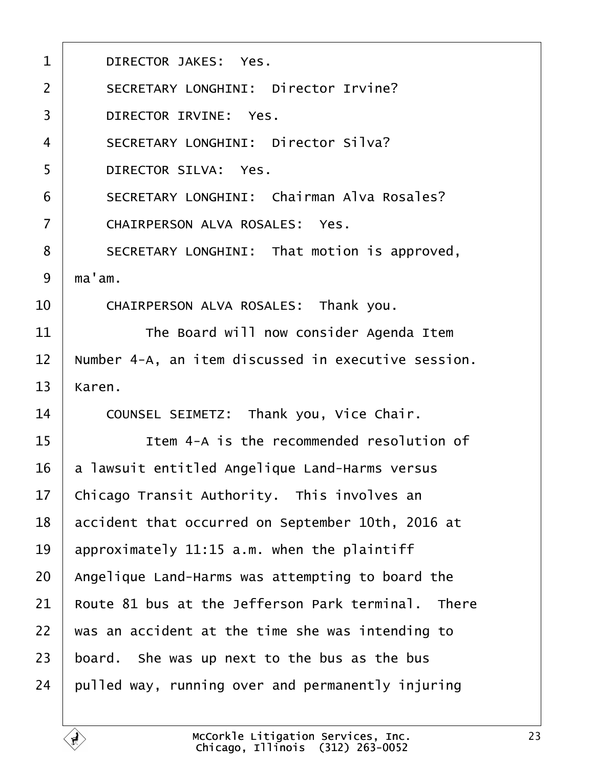<span id="page-22-0"></span>

| $\mathbf{1}$   | DIRECTOR JAKES: Yes.                                |
|----------------|-----------------------------------------------------|
| $\overline{2}$ | SECRETARY LONGHINI: Director Irvine?                |
| 3              | DIRECTOR IRVINE: Yes.                               |
| $\overline{4}$ | SECRETARY LONGHINI: Director Silva?                 |
| 5              | DIRECTOR SILVA: Yes.                                |
| 6              | SECRETARY LONGHINI: Chairman Alva Rosales?          |
| $\overline{7}$ | CHAIRPERSON ALVA ROSALES: Yes.                      |
| 8              | SECRETARY LONGHINI: That motion is approved,        |
| 9              | ma'am.                                              |
| 10             | CHAIRPERSON ALVA ROSALES: Thank you.                |
| 11             | The Board will now consider Agenda Item             |
| 12             | Number 4-A, an item discussed in executive session. |
| 13             | Karen.                                              |
| 14             | COUNSEL SEIMETZ: Thank you, Vice Chair.             |
| 15             | Item 4-A is the recommended resolution of           |
| 16             | a lawsuit entitled Angelique Land-Harms versus      |
| 17             | Chicago Transit Authority. This involves an         |
| 18             | accident that occurred on September 10th, 2016 at   |
| 19             | approximately 11:15 a.m. when the plaintiff         |
| 20             | Angelique Land-Harms was attempting to board the    |
| 21             | Route 81 bus at the Jefferson Park terminal. There  |
| 22             | was an accident at the time she was intending to    |
| 23             | board. She was up next to the bus as the bus        |
| 24             | pulled way, running over and permanently injuring   |
|                |                                                     |

É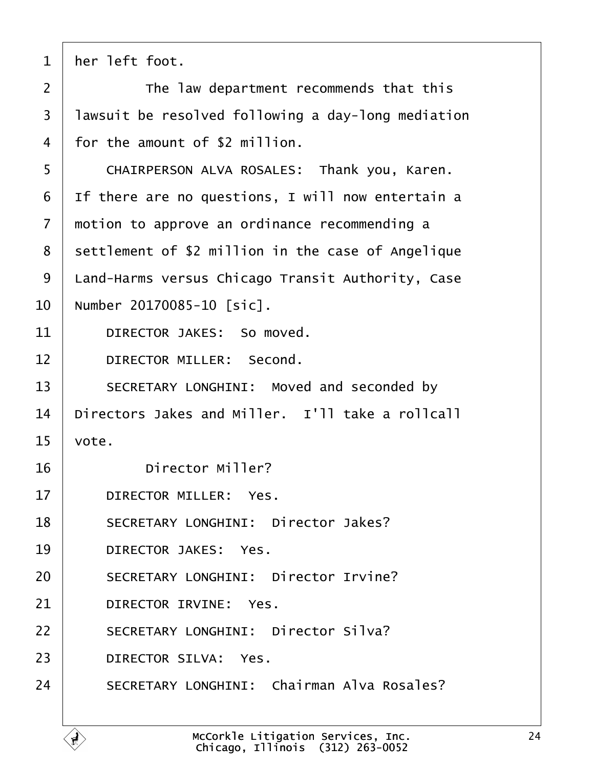<span id="page-23-0"></span>

| $\mathbf{1}$      | her left foot.                                     |
|-------------------|----------------------------------------------------|
| $\overline{2}$    | The law department recommends that this            |
| $\overline{3}$    | lawsuit be resolved following a day-long mediation |
| 4                 | for the amount of \$2 million.                     |
| 5                 | CHAIRPERSON ALVA ROSALES: Thank you, Karen.        |
| 6                 | If there are no questions, I will now entertain a  |
| $\overline{7}$    | motion to approve an ordinance recommending a      |
| 8                 | settlement of \$2 million in the case of Angelique |
| 9                 | Land-Harms versus Chicago Transit Authority, Case  |
| 10                | Number 20170085-10 [sic].                          |
| 11                | DIRECTOR JAKES: So moved.                          |
| $12 \overline{ }$ | DIRECTOR MILLER: Second.                           |
| 13                | SECRETARY LONGHINI: Moved and seconded by          |
| 14                | Directors Jakes and Miller. I'll take a rollcall   |
| 15                | vote.                                              |
| 16                | Director Miller?                                   |
| 17                | DIRECTOR MILLER: Yes.                              |
| 18                | SECRETARY LONGHINI: Director Jakes?                |
| 19                | DIRECTOR JAKES: Yes.                               |
| 20                | SECRETARY LONGHINI: Director Irvine?               |
| 21                | DIRECTOR IRVINE: Yes.                              |
| 22                | SECRETARY LONGHINI: Director Silva?                |
| 23                | DIRECTOR SILVA: Yes.                               |
| 24                | SECRETARY LONGHINI: Chairman Alva Rosales?         |
|                   |                                                    |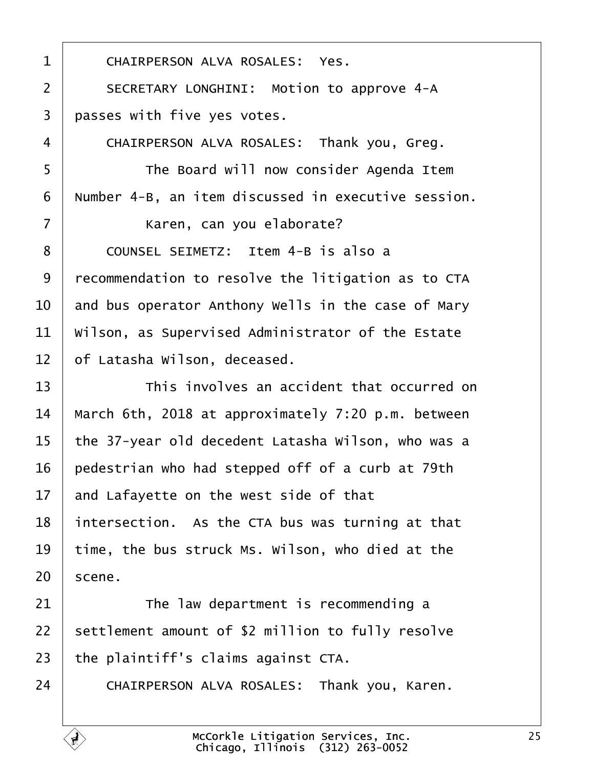<span id="page-24-0"></span>

| $\mathbf{1}$   | CHAIRPERSON ALVA ROSALES: Yes.                      |
|----------------|-----------------------------------------------------|
| $\overline{2}$ | SECRETARY LONGHINI: Motion to approve 4-A           |
| 3              | passes with five yes votes.                         |
| 4              | CHAIRPERSON ALVA ROSALES: Thank you, Greg.          |
| 5              | The Board will now consider Agenda Item             |
| 6              | Number 4-B, an item discussed in executive session. |
| $\overline{7}$ | Karen, can you elaborate?                           |
| 8              | COUNSEL SEIMETZ: Item 4-B is also a                 |
| 9              | recommendation to resolve the litigation as to CTA  |
| 10             | and bus operator Anthony Wells in the case of Mary  |
| 11             | Wilson, as Supervised Administrator of the Estate   |
| 12             | of Latasha Wilson, deceased.                        |
| 13             | This involves an accident that occurred on          |
| 14             | March 6th, 2018 at approximately 7:20 p.m. between  |
| 15             | the 37-year old decedent Latasha Wilson, who was a  |
| 16             | pedestrian who had stepped off of a curb at 79th    |
| 17             | and Lafayette on the west side of that              |
| 18             | intersection. As the CTA bus was turning at that    |
| 19             | time, the bus struck Ms. Wilson, who died at the    |
| 20             | scene.                                              |
| 21             | The law department is recommending a                |
| 22             | settlement amount of \$2 million to fully resolve   |
| 23             | the plaintiff's claims against CTA.                 |
| 24             | CHAIRPERSON ALVA ROSALES: Thank you, Karen.         |

É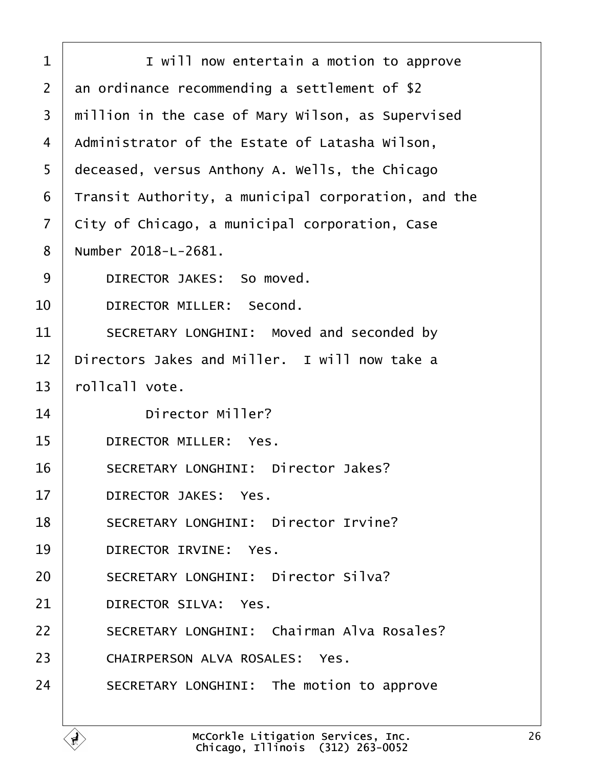<span id="page-25-0"></span>

| $\mathbf 1$    | I will now entertain a motion to approve            |
|----------------|-----------------------------------------------------|
| $\overline{2}$ | an ordinance recommending a settlement of \$2       |
| 3              | million in the case of Mary Wilson, as Supervised   |
| 4              | Administrator of the Estate of Latasha Wilson,      |
| 5              | deceased, versus Anthony A. Wells, the Chicago      |
| 6              | Transit Authority, a municipal corporation, and the |
| $\overline{7}$ | City of Chicago, a municipal corporation, Case      |
| 8              | Number 2018-L-2681.                                 |
| 9              | DIRECTOR JAKES: So moved.                           |
| 10             | DIRECTOR MILLER: Second.                            |
| 11             | SECRETARY LONGHINI: Moved and seconded by           |
| 12             | Directors Jakes and Miller. I will now take a       |
| 13             | rollcall vote.                                      |
| 14             | Director Miller?                                    |
| 15             | DIRECTOR MILLER: Yes.                               |
| 16             | SECRETARY LONGHINI: Director Jakes?                 |
| 17             | DIRECTOR JAKES: Yes.                                |
| 18             | SECRETARY LONGHINI: Director Irvine?                |
| 19             | DIRECTOR IRVINE: Yes.                               |
| 20             | SECRETARY LONGHINI: Director Silva?                 |
| 21             | DIRECTOR SILVA: Yes.                                |
| 22             | SECRETARY LONGHINI: Chairman Alva Rosales?          |
| 23             | CHAIRPERSON ALVA ROSALES: Yes.                      |
| 24             | SECRETARY LONGHINI: The motion to approve           |
|                |                                                     |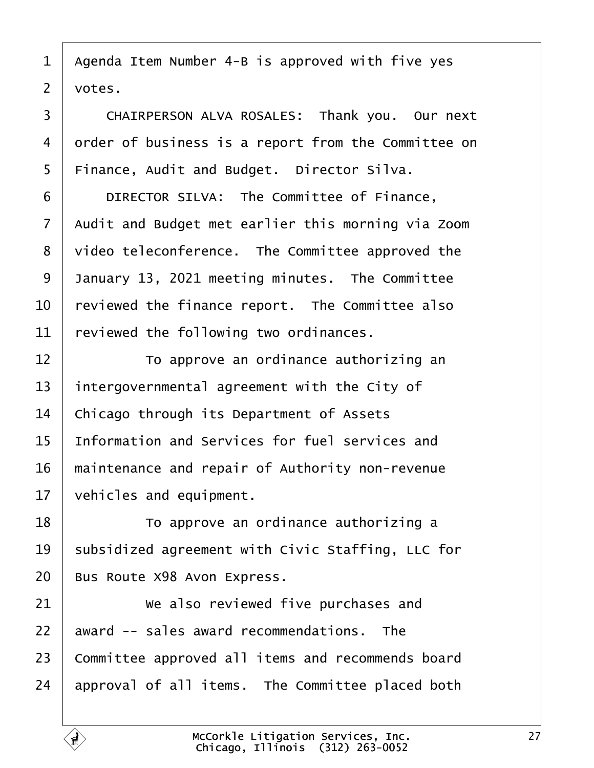<span id="page-26-0"></span>1 | Agenda Item Number 4-B is approved with five yes  $2 \mid \text{votes}.$ 

3 | CHAIRPERSON ALVA ROSALES: Thank you. Our next 4 order of business is a report from the Committee on  $5$  | Finance, Audit and Budget. Director Silva.

**DIRECTOR SILVA:** The Committee of Finance, Audit and Budget met earlier this morning via Zoom  $\vert$  video teleconference. The Committee approved the 9 | January 13, 2021 meeting minutes. The Committee  $\vert$  reviewed the finance report. The Committee also reviewed the following two ordinances.

  $\begin{array}{|l} \hline \end{array}$   $\begin{array}{|l} \hline \end{array}$   $\begin{array}{|l} \hline \end{array}$   $\begin{array}{|l} \hline \end{array}$   $\begin{array}{|l} \hline \end{array}$   $\begin{array}{|l} \hline \end{array}$   $\begin{array}{|l} \hline \end{array}$   $\begin{array}{|l} \hline \end{array}$   $\begin{array}{|l} \hline \end{array}$   $\begin{array}{|l} \hline \end{array}$   $\begin{array}{|l} \hline \end{array}$   $\begin{array}{|$  intergovernmental agreement with the City of  $\vert$  Chicago through its Department of Assets 15 Information and Services for fuel services and maintenance and repair of Authority non-revenue vehicles and equipment.

18 **I b** To approve an ordinance authorizing a 19 | subsidized agreement with Civic Staffing, LLC for 20 | Bus Route X98 Avon Express.

  $\parallel$  **we also reviewed five purchases and**  award  $-$  sales award recommendations. The 23 Committee approved all items and recommends board approval of all items. The Committee placed both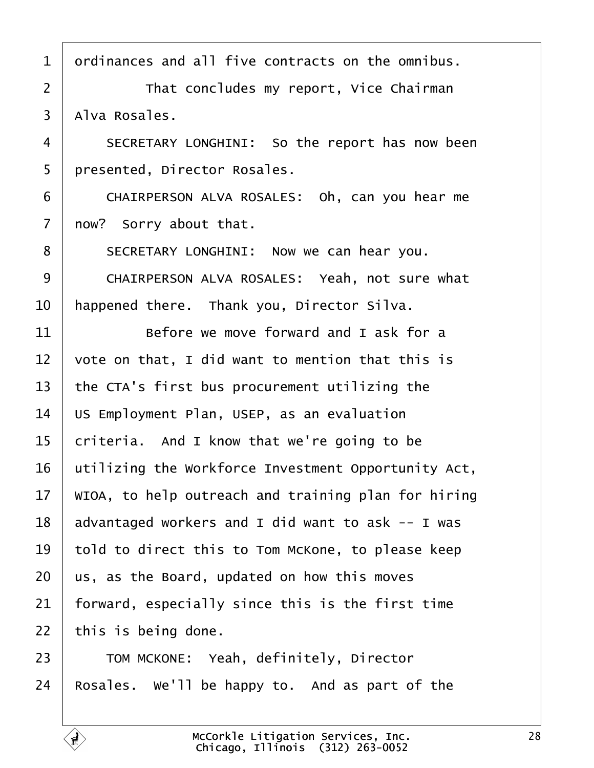<span id="page-27-0"></span> ordinances and all five contracts on the omnibus. 2 | That concludes my report, Vice Chairman | Alva Rosales. 4 SECRETARY LONGHINI: So the report has now been 5 | presented, Director Rosales. 6 CHAIRPERSON ALVA ROSALES: Oh, can you hear me | now? Sorry about that. 8 | SECRETARY LONGHINI: Now we can hear you. 9 | CHAIRPERSON ALVA ROSALES: Yeah, not sure what  $\vert$  happened there. Thank you, Director Silva.  $\parallel$  **Before we move forward and I ask for a**  $\vert$  vote on that. I did want to mention that this is | the CTA's first bus procurement utilizing the US Employment Plan, USEP, as an evaluation criteria. And I know that we're going to be utilizing the Workforce Investment Opportunity Act,  $\parallel$  WIOA, to help outreach and training plan for hiring advantaged workers and I did want to ask  $-$  I was told to direct this to Tom McKone, to please keep us, as the Board, updated on how this moves | forward, especially since this is the first time | this is being done. 23 TOM MCKONE: Yeah, definitely, Director 24 Rosales. We'll be happy to. And as part of the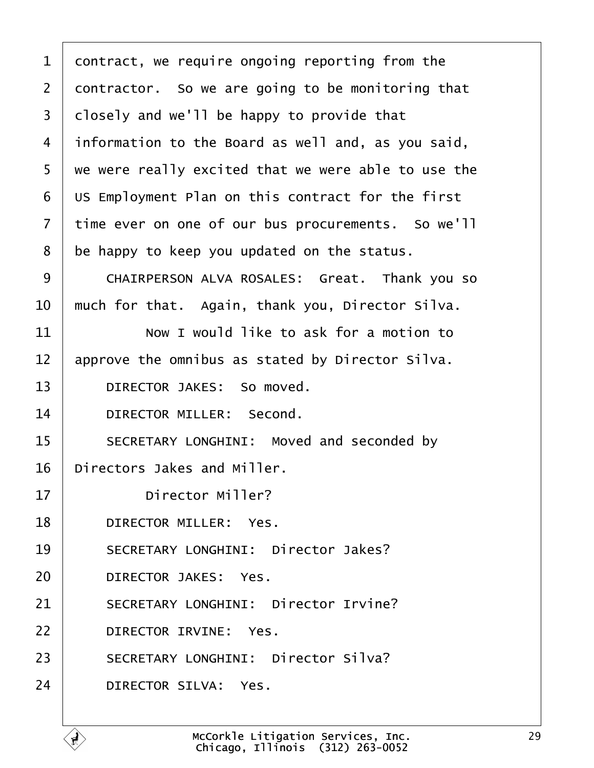<span id="page-28-0"></span>

| $\mathbf{1}$   | contract, we require ongoing reporting from the     |
|----------------|-----------------------------------------------------|
| $\overline{2}$ | contractor. So we are going to be monitoring that   |
| 3              | closely and we'll be happy to provide that          |
| 4              | information to the Board as well and, as you said,  |
| 5              | we were really excited that we were able to use the |
| 6              | US Employment Plan on this contract for the first   |
| $\overline{7}$ | time ever on one of our bus procurements. So we'll  |
| 8              | be happy to keep you updated on the status.         |
| 9              | CHAIRPERSON ALVA ROSALES: Great. Thank you so       |
| 10             | much for that. Again, thank you, Director Silva.    |
| 11             | Now I would like to ask for a motion to             |
| 12             | approve the omnibus as stated by Director Silva.    |
| 13             | DIRECTOR JAKES: So moved.                           |
| 14             | DIRECTOR MILLER: Second.                            |
| 15             | SECRETARY LONGHINI: Moved and seconded by           |
| 16             | Directors Jakes and Miller.                         |
| 17             | Director Miller?                                    |
| 18             | DIRECTOR MILLER: Yes.                               |
| 19             | SECRETARY LONGHINI: Director Jakes?                 |
| 20             | DIRECTOR JAKES: Yes.                                |
| 21             | SECRETARY LONGHINI: Director Irvine?                |
| 22             | DIRECTOR IRVINE: Yes.                               |
| 23             | SECRETARY LONGHINI: Director Silva?                 |
| 24             | DIRECTOR SILVA: Yes.                                |
|                |                                                     |

ſ.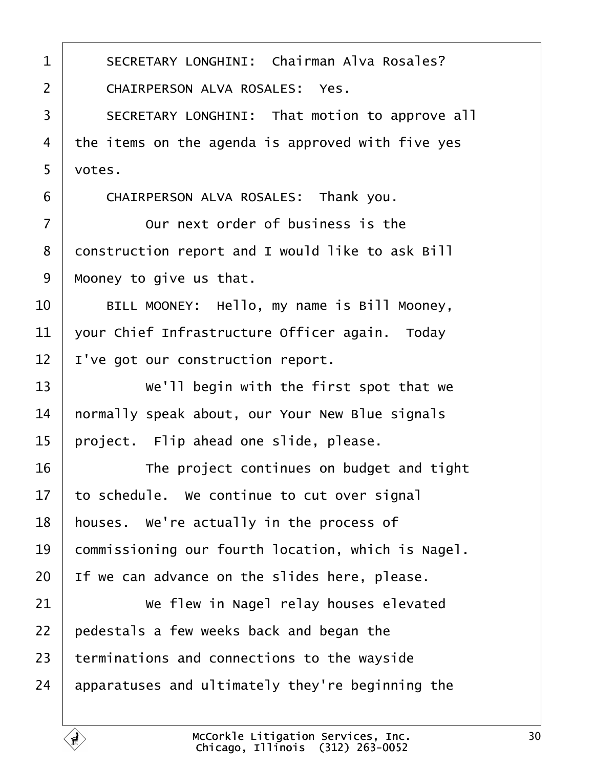<span id="page-29-0"></span>1 | SECRETARY LONGHINI: Chairman Alva Rosales? 2 | CHAIRPERSON ALVA ROSALES: Yes. 3 SECRETARY LONGHINI: That motion to approve all the items on the agenda is approved with five yes  $5 \mid \text{votes.}$ 6 CHAIRPERSON ALVA ROSALES: Thank you.  $\vert$  0ur next order of business is the 8 construction report and I would like to ask Bill | Mooney to give us that. 10 | BILL MOONEY: Hello, my name is Bill Mooney,  $\vert$  your Chief Infrastructure Officer again. Today | I've got our construction report. **We'll begin with the first spot that we**  | normally speak about, our Your New Blue signals | project. Flip ahead one slide, please. **The project continues on budget and tight**  to schedule. We continue to cut over signal | houses. We're actually in the process of 19 commissioning our fourth location, which is Nagel. | If we can advance on the slides here, please. **We flew in Nagel relay houses elevated**  | pedestals a few weeks back and began the terminations and connections to the wayside apparatuses and ultimately they're beginning the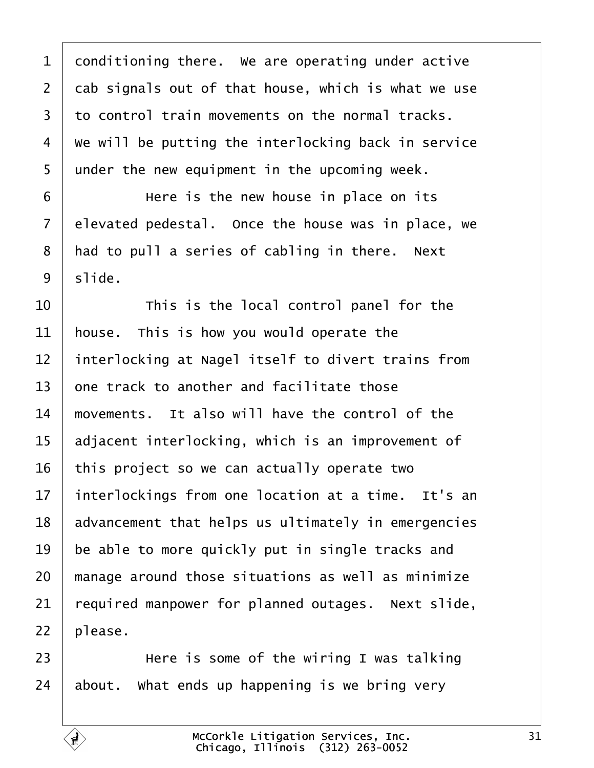<span id="page-30-0"></span> conditioning there. We are operating under active  $\vert$  cab signals out of that house, which is what we use to control train movements on the normal tracks.  $4 \mid$  We will be putting the interlocking back in service under the new equipment in the upcoming week.

**I EXEL EXECUTE:** Here is the new house in place on its elevated pedestal. Once the house was in place, we | had to pull a series of cabling in there. Next  $9 \mid$  slide.

  $\begin{array}{ccc} \end{array}$   $\begin{array}{ccc} \end{array}$   $\begin{array}{ccc} \end{array}$   $\begin{array}{ccc} \end{array}$   $\begin{array}{ccc} \end{array}$   $\begin{array}{ccc} \end{array}$   $\begin{array}{ccc} \end{array}$   $\begin{array}{ccc} \end{array}$   $\begin{array}{ccc} \end{array}$   $\begin{array}{ccc} \end{array}$   $\begin{array}{ccc} \end{array}$   $\begin{array}{ccc} \end{array}$   $\begin{array}{ccc} \end{array}$   $\begin{array}{ccc} \end{array}$   $\begin{array}{$  | house. This is how you would operate the interlocking at Nagel itself to divert trains from  $\pm$  one track to another and facilitate those  $\parallel$  movements. It also will have the control of the adjacent interlocking, which is an improvement of this project so we can actually operate two 17 | interlockings from one location at a time. It's an advancement that helps us ultimately in emergencies be able to more quickly put in single tracks and  $\mid$  manage around those situations as well as minimize required manpower for planned outages. Next slide, | please.

23  $\parallel$  **b example 12** Here is some of the wiring I was talking about. What ends up happening is we bring very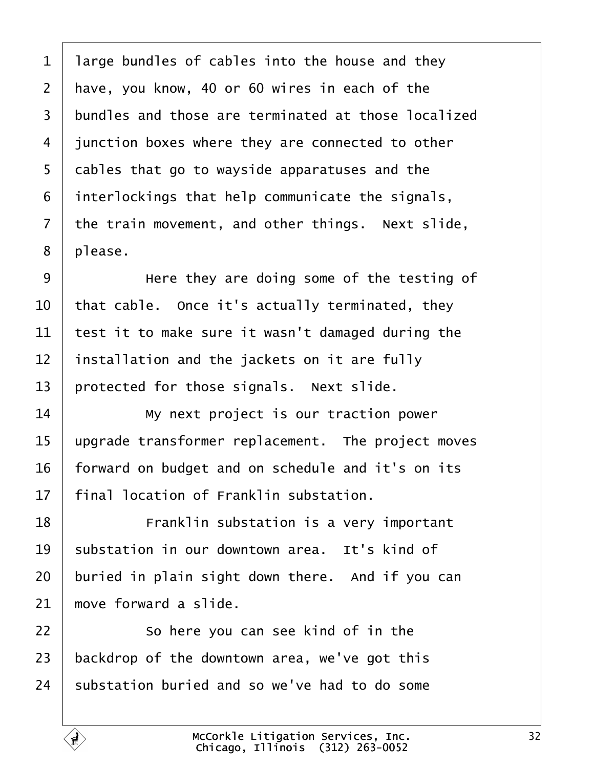<span id="page-31-0"></span> large bundles of cables into the house and they | have, you know, 40 or 60 wires in each of the 3 bundles and those are terminated at those localized iunction boxes where they are connected to other cables that go to wayside apparatuses and the interlockings that help communicate the signals, the train movement, and other things. Next slide, | please.

**I** Bere they are doing some of the testing of  $\vert$  that cable. Once it's actually terminated, they  $\vert$  test it to make sure it wasn't damaged during the installation and the jackets on it are fully | protected for those signals. Next slide.

14 Wy next project is our traction power | upgrade transformer replacement. The project moves | forward on budget and on schedule and it's on its  $\parallel$  final location of Franklin substation.

**I Example 18** Franklin substation is a very important substation in our downtown area. It's kind of buried in plain sight down there. And if you can move forward a slide.

22 So here you can see kind of in the  $\vert$  backdrop of the downtown area, we've got this substation buried and so we've had to do some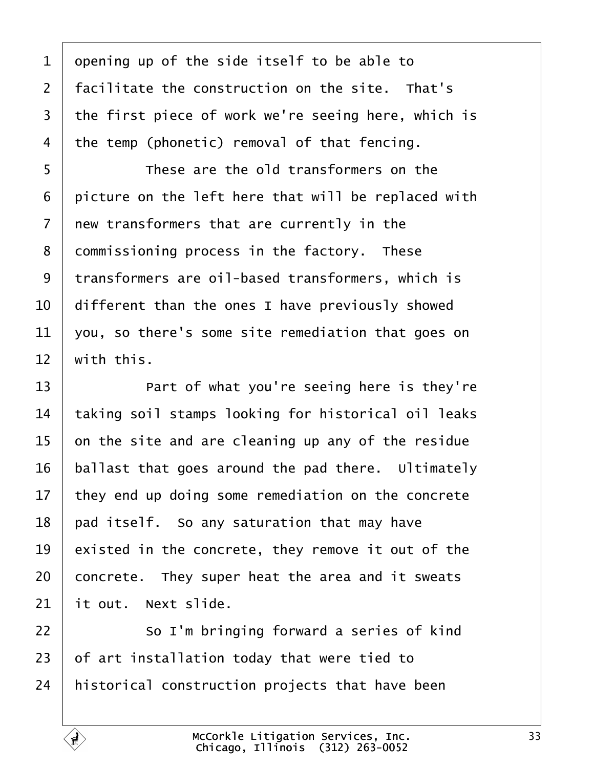<span id="page-32-0"></span> opening up of the side itself to be able to  $\vert$  facilitate the construction on the site. That's the first piece of work we're seeing here, which is 4 | the temp (phonetic) removal of that fencing.

**I** These are the old transformers on the | picture on the left here that will be replaced with  $\vert$  new transformers that are currently in the 8 | commissioning process in the factory. These 9 | transformers are oil-based transformers, which is  $\vert$  different than the ones I have previously showed  $\vert$  you, so there's some site remediation that goes on  $12 \parallel$  with this.

**I Part of what you're seeing here is they're**   $\vert$  taking soil stamps looking for historical oil leaks  $\vert$  on the site and are cleaning up any of the residue ballast that goes around the pad there. Ultimately they end up doing some remediation on the concrete | pad itself. So any saturation that may have existed in the concrete, they remove it out of the concrete. They super heat the area and it sweats it out. Next slide.

22 So I'm bringing forward a series of kind of art installation today that were tied to | historical construction projects that have been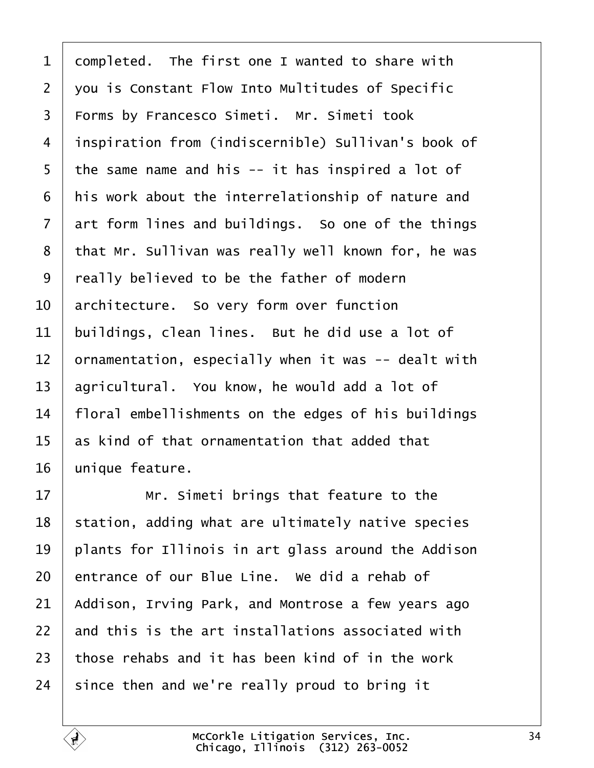<span id="page-33-0"></span> completed. The first one I wanted to share with 2 | you is Constant Flow Into Multitudes of Specific 3 | Forms by Francesco Simeti. Mr. Simeti took 4 | inspiration from (indiscernible) Sullivan's book of the same name and his -- it has inspired a lot of | his work about the interrelationship of nature and art form lines and buildings. So one of the things 8 that Mr. Sullivan was really well known for, he was | really believed to be the father of modern  $\vert$  architecture. So very form over function buildings, clean lines. But he did use a lot of  $\vert$  ornamentation, especially when it was -- dealt with agricultural. You know, he would add a lot of | floral embellishments on the edges of his buildings as kind of that ornamentation that added that unique feature.

**If any 11 Islam I** Mr. Simeti brings that feature to the station, adding what are ultimately native species | plants for Illinois in art glass around the Addison entrance of our Blue Line. We did a rehab of Addison, Irving Park, and Montrose a few years ago and this is the art installations associated with  $\pm$  those rehabs and it has been kind of in the work since then and we're really proud to bring it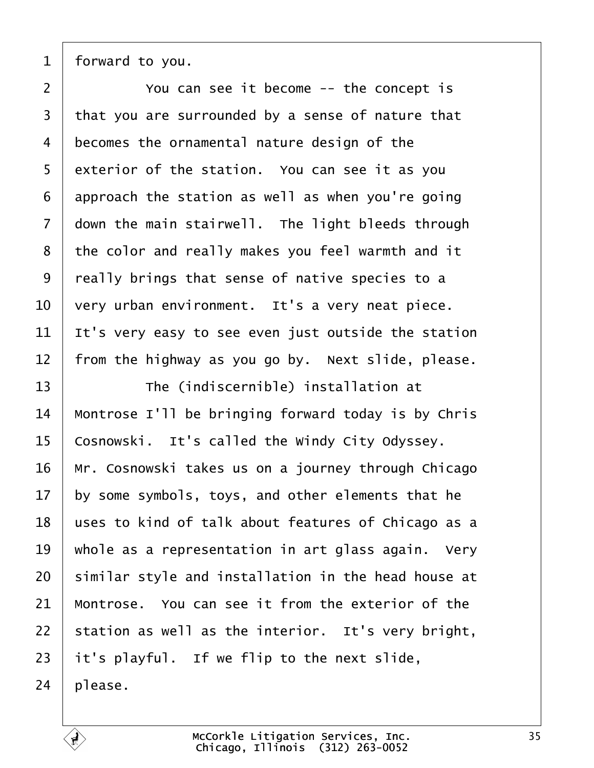<span id="page-34-0"></span>

| forward to you.

2 | The You can see it become -- the concept is that you are surrounded by a sense of nature that 4 | becomes the ornamental nature design of the exterior of the station. You can see it as you approach the station as well as when you're going down the main stairwell. The light bleeds through | the color and really makes you feel warmth and it  $\vert$  really brings that sense of native species to a  $\vert$  very urban environment. It's a very neat piece.  $\vert$  It's very easy to see even just outside the station | from the highway as you go by. Next slide, please.

13 The (indiscernible) installation at  $\parallel$  Montrose I'll be bringing forward today is by Chris Cosnowski. It's called the Windy City Odyssey. | Mr. Cosnowski takes us on a journey through Chicago by some symbols, toys, and other elements that he uses to kind of talk about features of Chicago as a  $\vert$  whole as a representation in art glass again. Very similar style and installation in the head house at  $\parallel$  Montrose. You can see it from the exterior of the station as well as the interior. It's very bright, it's playful. If we flip to the next slide, | please.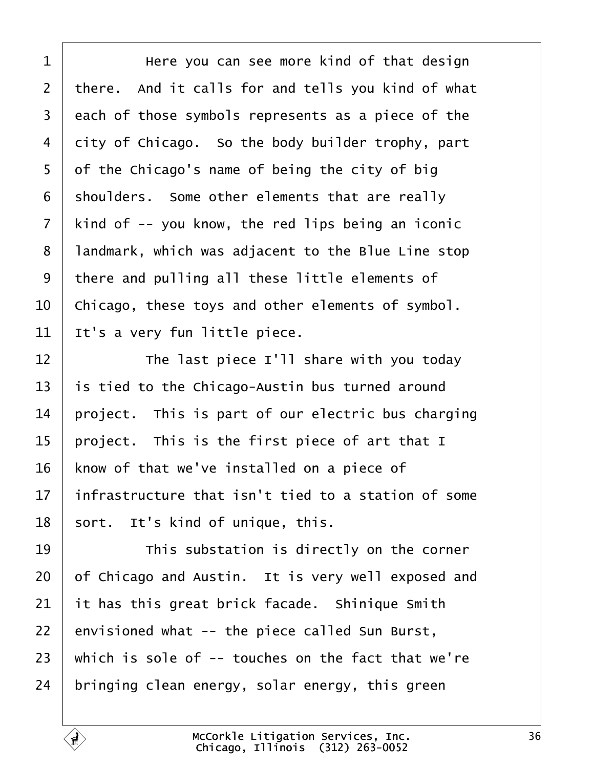<span id="page-35-0"></span>1 | The Here you can see more kind of that design there. And it calls for and tells you kind of what  $3 \mid$  each of those symbols represents as a piece of the city of Chicago. So the body builder trophy, part of the Chicago's name of being the city of big shoulders. Some other elements that are really kind of  $-5$  you know, the red lips being an iconic 8 | landmark, which was adjacent to the Blue Line stop 9 there and pulling all these little elements of  $\vert$  Chicago, these toys and other elements of symbol. It's a very fun little piece.

 $\parallel$  **The last piece I'll share with you today**  is tied to the Chicago-Austin bus turned around 14 | project. This is part of our electric bus charging 15 | project. This is the first piece of art that I know of that we've installed on a piece of | infrastructure that isn't tied to a station of some sort. It's kind of unique, this.

19 This substation is directly on the corner of Chicago and Austin. It is very well exposed and it has this great brick facade. Shinique Smith envisioned what -- the piece called Sun Burst,  $\vert$  which is sole of -- touches on the fact that we're | bringing clean energy, solar energy, this green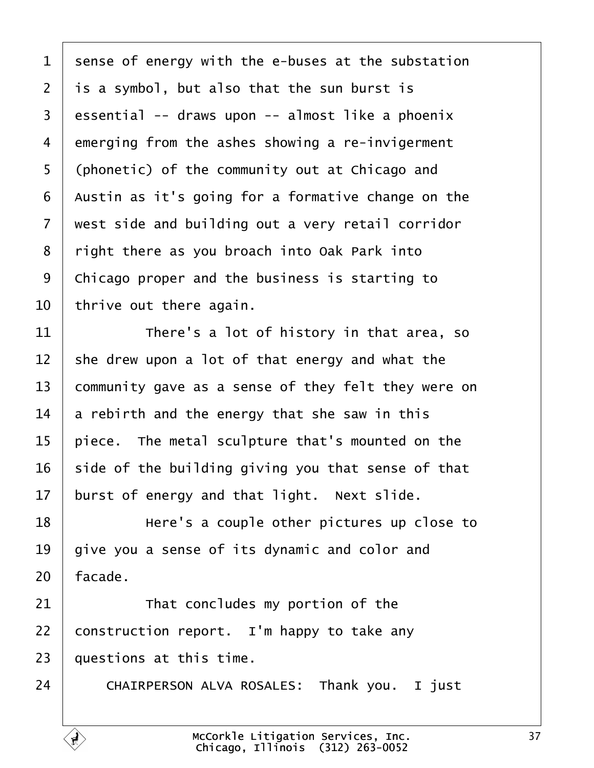<span id="page-36-0"></span> sense of energy with the e-buses at the substation is a symbol, but also that the sun burst is essential -- draws upon -- almost like a phoenix emerging from the ashes showing a re-invigerment 5 (phonetic) of the community out at Chicago and | Austin as it's going for a formative change on the  $\vert$  west side and building out a very retail corridor  $\mid$  right there as you broach into Oak Park into 9 | Chicago proper and the business is starting to | thrive out there again.

11· · · · · · There's a lot of history in that area, so she drew upon a lot of that energy and what the 13 community gave as a sense of they felt they were on  $\vert$  a rebirth and the energy that she saw in this  $\vert$  piece. The metal sculpture that's mounted on the side of the building giving you that sense of that burst of energy and that light. Next slide.

18· · · · · · Here's a couple other pictures up close to  $\vert$  give you a sense of its dynamic and color and | facade.

  $\parallel$  That concludes my portion of the 22 construction report. I'm happy to take any | questions at this time.

24 CHAIRPERSON ALVA ROSALES: Thank you. I just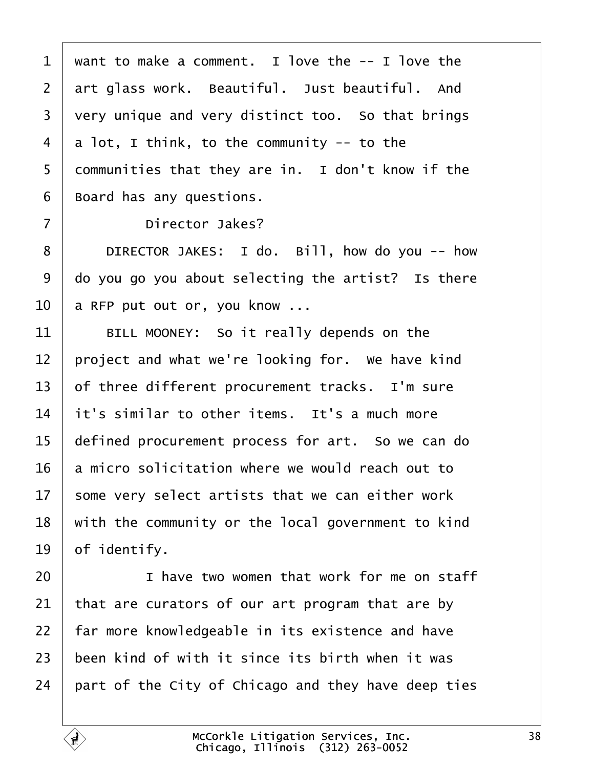<span id="page-37-0"></span> want to make a comment. I love the  $-$  I love the  $\vert$  art glass work. Beautiful. Just beautiful. And very unique and very distinct too. So that brings  $4 \mid a$  lot, I think, to the community -- to the 5 communities that they are in. I don't know if the Board has any questions.

7 | Director Jakes?

8 DIRECTOR JAKES: I do. Bill, how do you -- how  $\vert$  do you go you about selecting the artist? Is there a RFP put out or, you know ...

  $\parallel$  BILL MOONEY: So it really depends on the | project and what we're looking for. We have kind of three different procurement tracks. I'm sure it's similar to other items. It's a much more 15 | defined procurement process for art. So we can do a micro solicitation where we would reach out to some very select artists that we can either work with the community or the local government to kind of identify.

20· · · · · · I have two women that work for me on staff that are curators of our art program that are by | far more knowledgeable in its existence and have  $\pm$  been kind of with it since its birth when it was  $\vert$  part of the City of Chicago and they have deep ties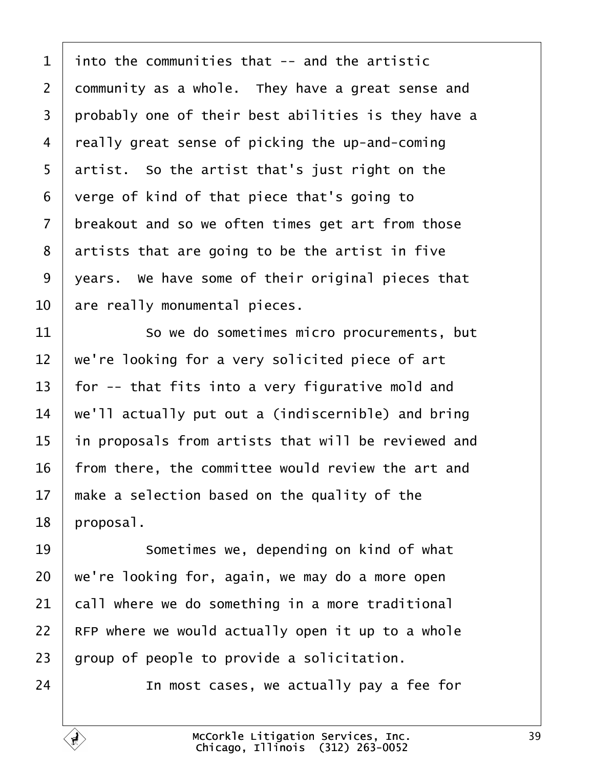<span id="page-38-0"></span> into the communities that -- and the artistic 2 community as a whole. They have a great sense and  $\mid$  probably one of their best abilities is they have a really great sense of picking the up-and-coming artist. So the artist that's just right on the verge of kind of that piece that's going to breakout and so we often times get art from those artists that are going to be the artist in five | years. We have some of their original pieces that  $\vert$  are really monumental pieces.

11 So we do sometimes micro procurements, but  $\vert$  we're looking for a very solicited piece of art  $\vert$  for -- that fits into a very figurative mold and  $\vert$  we'll actually put out a (indiscernible) and bring in proposals from artists that will be reviewed and | from there, the committee would review the art and  $\parallel$  make a selection based on the quality of the | proposal.

**I Sometimes we, depending on kind of what**  we're looking for, again, we may do a more open call where we do something in a more traditional RFP where we would actually open it up to a whole | group of people to provide a solicitation.

24· · · · · · In most cases, we actually pay a fee for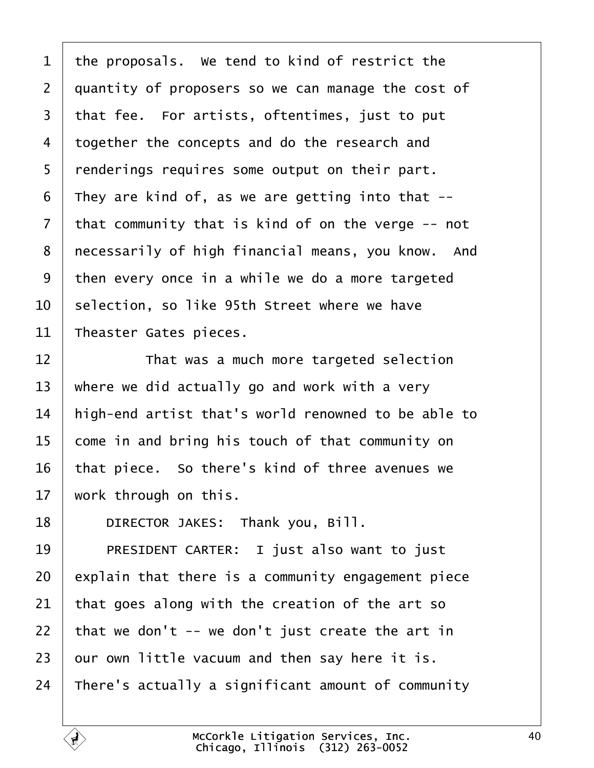<span id="page-39-0"></span> the proposals. We tend to kind of restrict the 2 quantity of proposers so we can manage the cost of that fee. For artists, oftentimes, just to put 4 together the concepts and do the research and | renderings requires some output on their part. They are kind of, as we are getting into that  $-$  that community that is kind of on the verge  $-$ - not 8 | necessarily of high financial means, you know. And then every once in a while we do a more targeted  $\vert$  selection, so like 95th Street where we have Theaster Gates pieces.

12 That was a much more targeted selection  $\vert$  where we did actually go and work with a very | high-end artist that's world renowned to be able to come in and bring his touch of that community on | that piece. So there's kind of three avenues we work through on this.

**DIRECTOR JAKES:** Thank you, Bill.

19 PRESIDENT CARTER: I just also want to just explain that there is a community engagement piece that goes along with the creation of the art so 22 | that we don't  $-$  we don't just create the art in our own little vacuum and then say here it is. 24 There's actually a significant amount of community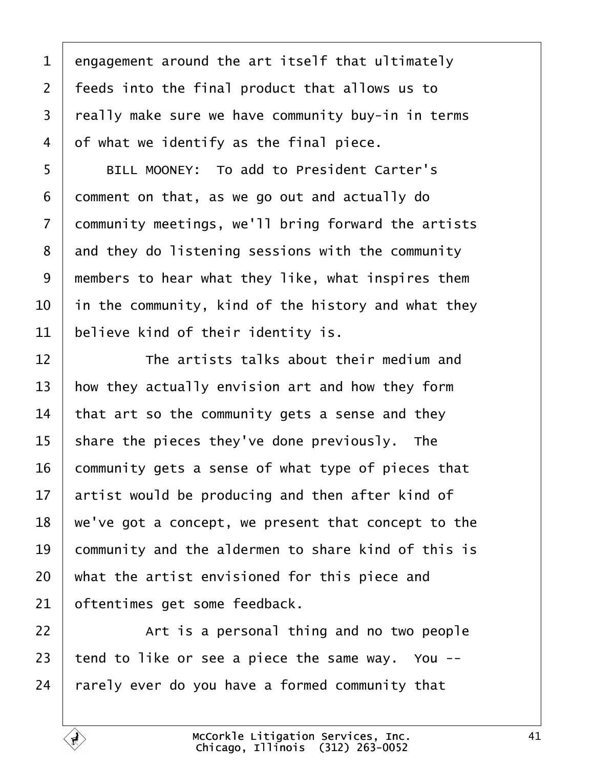<span id="page-40-0"></span> engagement around the art itself that ultimately | feeds into the final product that allows us to 3 | really make sure we have community buy-in in terms  $4 \mid$  of what we identify as the final piece.

5 | BILL MOONEY: To add to President Carter's comment on that, as we go out and actually do 7 | community meetings, we'll bring forward the artists and they do listening sessions with the community  $\mid$  members to hear what they like, what inspires them  $\vert$  in the community, kind of the history and what they believe kind of their identity is.

  $\parallel$  **The artists talks about their medium and**  how they actually envision art and how they form that art so the community gets a sense and they share the pieces they've done previously. The community gets a sense of what type of pieces that  $\vert$  artist would be producing and then after kind of  $\mid$  we've got a concept, we present that concept to the 19 community and the aldermen to share kind of this is  $\vert$  what the artist envisioned for this piece and oftentimes get some feedback.

  $\vert$  art is a personal thing and no two people  $\vert$  tend to like or see a piece the same way. You --rarely ever do you have a formed community that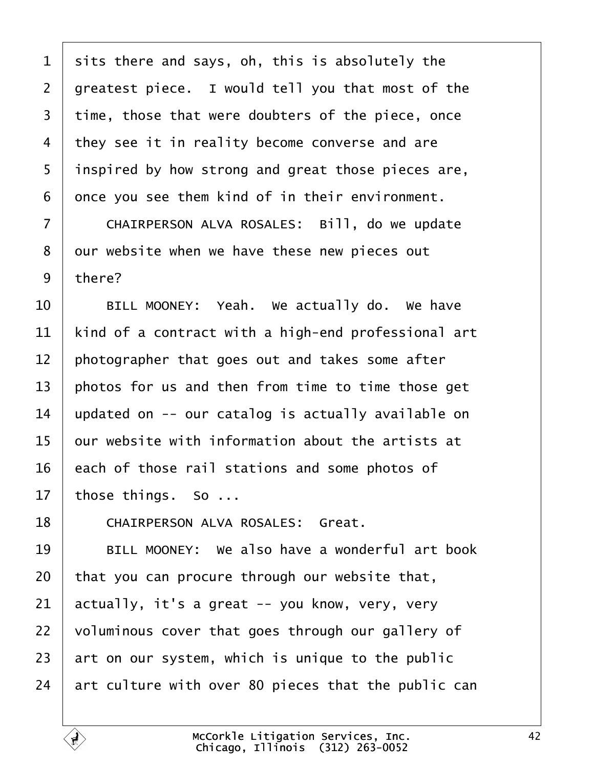<span id="page-41-0"></span> sits there and says, oh, this is absolutely the 2 | greatest piece. I would tell you that most of the time, those that were doubters of the piece, once 4 they see it in reality become converse and are 5 | inspired by how strong and great those pieces are, once you see them kind of in their environment.

7 | CHAIRPERSON ALVA ROSALES: Bill, do we update 8 | our website when we have these new pieces out there?

  $\vert$   $\vert$  BILL MOONEY: Yeah. We actually do. We have  $\vert$  kind of a contract with a high-end professional art photographer that goes out and takes some after  $\vert$  photos for us and then from time to time those get 14 | updated on  $-$ - our catalog is actually available on  $\vert$  our website with information about the artists at each of those rail stations and some photos of those things. So ...

18 | CHAIRPERSON ALVA ROSALES: Great.

**BILL MOONEY:** We also have a wonderful art book that you can procure through our website that,  $\vert$  actually, it's a great -- you know, very, very  $\mid$  voluminous cover that goes through our gallery of art on our system, which is unique to the public  $\vert$  art culture with over 80 pieces that the public can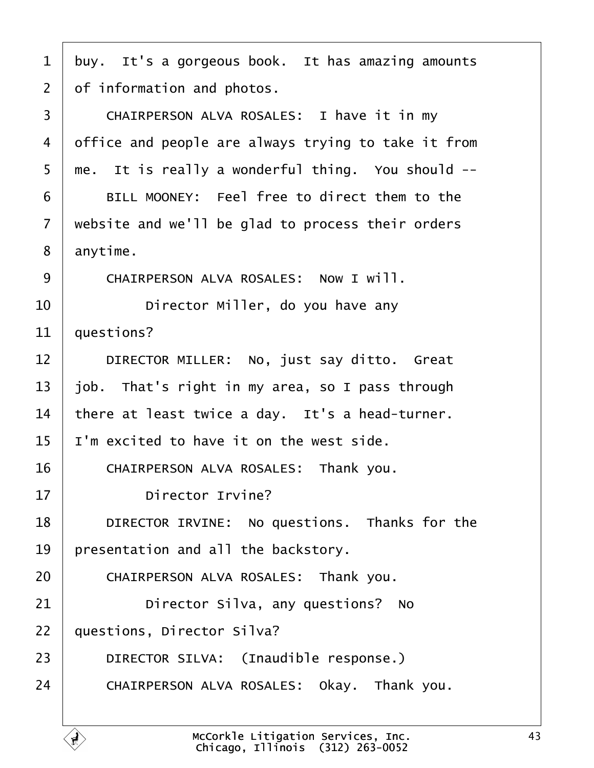<span id="page-42-0"></span> $1$  buy. It's a gorgeous book. It has amazing amounts  $2 \mid$  of information and photos. 3 | CHAIRPERSON ALVA ROSALES: I have it in my 4 office and people are always trying to take it from  $5 \mid$  me. It is really a wonderful thing. You should  $-$ -6 BILL MOONEY: Feel free to direct them to the  $7$   $\vert$  website and we'll be glad to process their orders  $8 \mid$  anytime. 9 CHAIRPERSON ALVA ROSALES: NOW I WILL. 10 **I Director Miller, do you have any**  $11$   $\vert$  questions? 12 DIRECTOR MILLER: No, just say ditto. Great 13  $\vert$  job. That's right in my area, so I pass through  $14$  there at least twice a day. It's a head-turner.  $15$  | I'm excited to have it on the west side. 16 CHAIRPERSON ALVA ROSALES: Thank you. 17 **Director Irvine?** 18 **DIRECTOR IRVINE:** No questions. Thanks for the  $19$  | presentation and all the backstory. 20 CHAIRPERSON ALVA ROSALES: Thank you. 21 **Director Silva, any questions?** No 22 | questions, Director Silva? 23 DIRECTOR SILVA: (Inaudible response.) 24 CHAIRPERSON ALVA ROSALES: Okay. Thank you.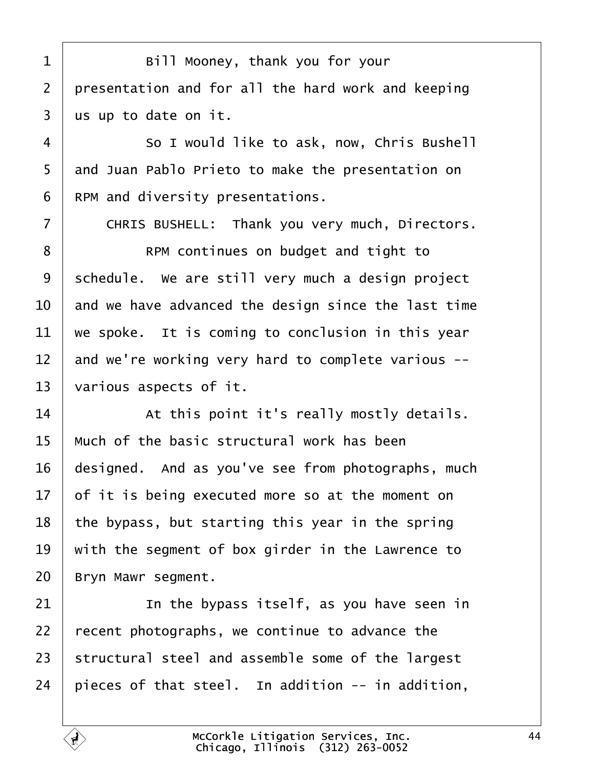<span id="page-43-0"></span>1 | Bill Mooney, thank you for your 2 | presentation and for all the hard work and keeping  $3 \mid$  us up to date on it.

**So I would like to ask, now, Chris Bushell** 5 and Juan Pablo Prieto to make the presentation on | RPM and diversity presentations.

7 | CHRIS BUSHELL: Thank you very much, Directors.

8 | RPM continues on budget and tight to schedule. We are still very much a design project  $\parallel$  and we have advanced the design since the last time  $\vert$  we spoke. It is coming to conclusion in this year and we're working very hard to complete various  $-$ various aspects of it.

  $\parallel$   $\blacksquare$  At this point it's really mostly details.  $\mid$  Much of the basic structural work has been designed. And as you've see from photographs, much of it is being executed more so at the moment on  $\vert$  the bypass, but starting this year in the spring with the segment of box girder in the Lawrence to 20 | Bryn Mawr segment.

21· · · · · · In the bypass itself, as you have seen in recent photographs, we continue to advance the structural steel and assemble some of the largest  $\vert$  pieces of that steel. In addition -- in addition,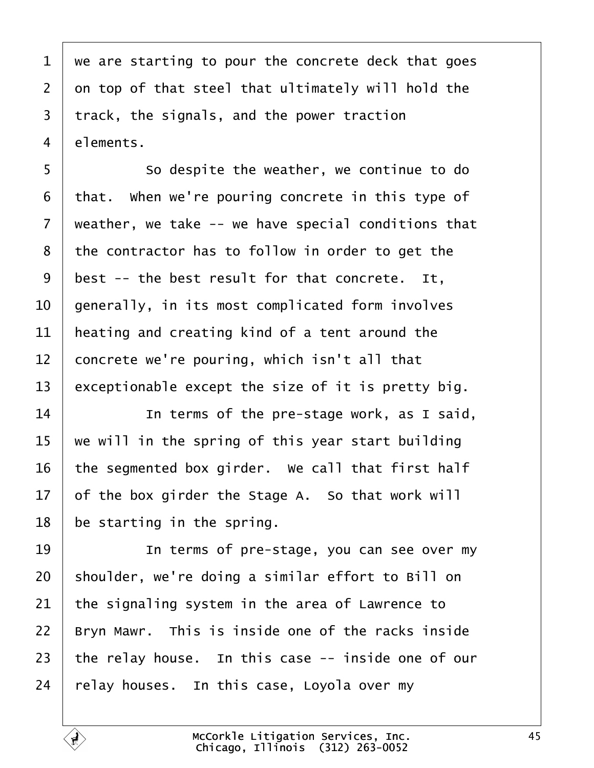<span id="page-44-0"></span> we are starting to pour the concrete deck that goes  $2 \mid$  on top of that steel that ultimately will hold the track, the signals, and the power traction  $4 \mid$  elements.

5 So despite the weather, we continue to do that. When we're pouring concrete in this type of  $\mid$  weather, we take -- we have special conditions that the contractor has to follow in order to get the best -- the best result for that concrete. It,  $\vert$  generally, in its most complicated form involves | heating and creating kind of a tent around the  $\vert$  concrete we're pouring, which isn't all that 13 exceptionable except the size of it is pretty big.

**I In terms of the pre-stage work, as I said,**   $\mid$  we will in the spring of this year start building  $\vert$  the segmented box girder. We call that first half of the box girder the Stage A. So that work will be starting in the spring.

**IDED** 10 terms of pre-stage, you can see over my shoulder, we're doing a similar effort to Bill on the signaling system in the area of Lawrence to  $\parallel$  Bryn Mawr. This is inside one of the racks inside the relay house. In this case  $-$  inside one of our relay houses. In this case, Loyola over my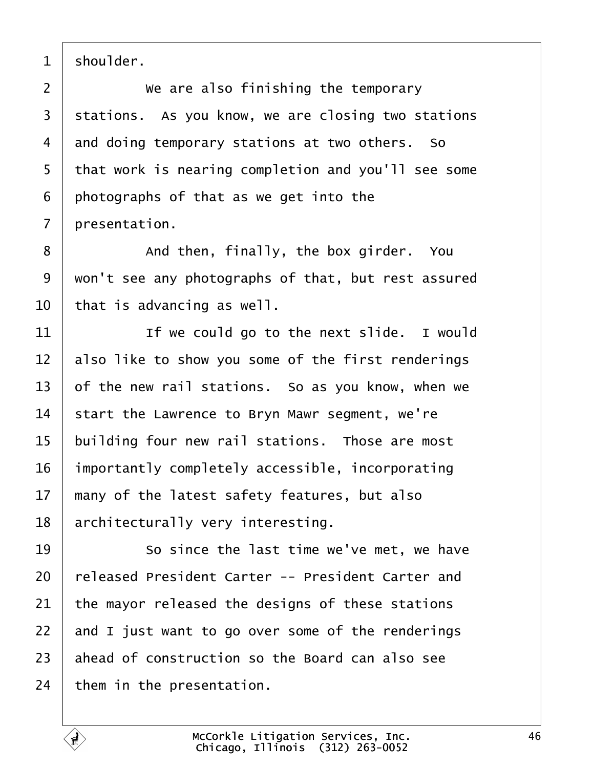<span id="page-45-0"></span>shoulder.

  $\vert$  we are also finishing the temporary stations. As you know, we are closing two stations 4 and doing temporary stations at two others. So 5 that work is nearing completion and you'll see some photographs of that as we get into the  $\mid$  presentation.

8 and then, finally, the box girder. You 9 | won't see any photographs of that, but rest assured  $\vert$  that is advancing as well.

  $\parallel$  **If we could go to the next slide.** I would also like to show you some of the first renderings  $\vert$  of the new rail stations. So as you know, when we start the Lawrence to Bryn Mawr segment, we're | building four new rail stations. Those are most importantly completely accessible, incorporating  $\parallel$  many of the latest safety features, but also | architecturally very interesting.

**19** So since the last time we've met, we have 20 released President Carter -- President Carter and the mayor released the designs of these stations  $\vert$  and I just want to go over some of the renderings ahead of construction so the Board can also see them in the presentation.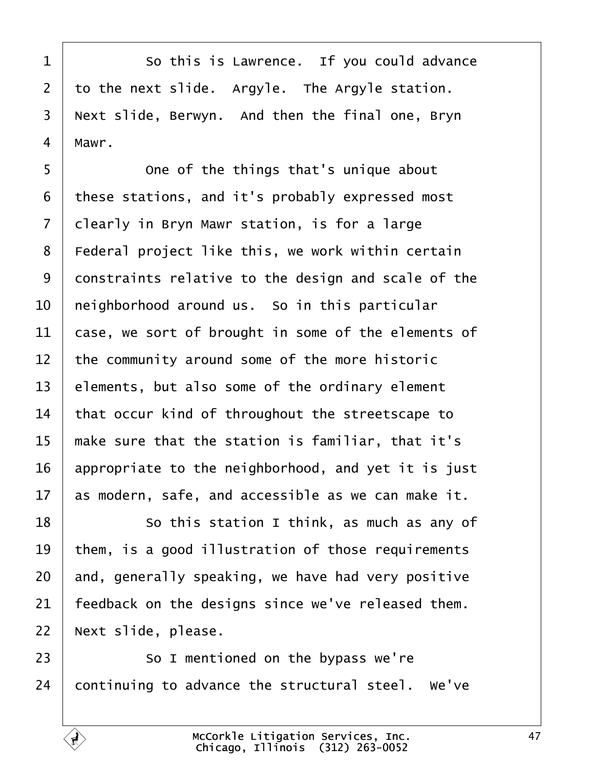<span id="page-46-0"></span>1 So this is Lawrence. If you could advance to the next slide. Argyle. The Argyle station. | Next slide, Berwyn. And then the final one, Bryn | Mawr.

  $\vert$  0ne of the things that's unique about these stations, and it's probably expressed most clearly in Bryn Mawr station, is for a large 8 | Federal project like this, we work within certain 9 constraints relative to the design and scale of the  $\vert$  neighborhood around us. So in this particular  $\vert$  case, we sort of brought in some of the elements of the community around some of the more historic elements, but also some of the ordinary element that occur kind of throughout the streetscape to  $\parallel$  make sure that the station is familiar, that it's  $\vert$  appropriate to the neighborhood, and yet it is just as modern, safe, and accessible as we can make it.

**8** · · · · · So this station I think, as much as any of  $\vert$  them, is a good illustration of those requirements and, generally speaking, we have had very positive Feedback on the designs since we've released them. 22 | Next slide, please.

  $\sim$  50 I mentioned on the bypass we're continuing to advance the structural steel. We've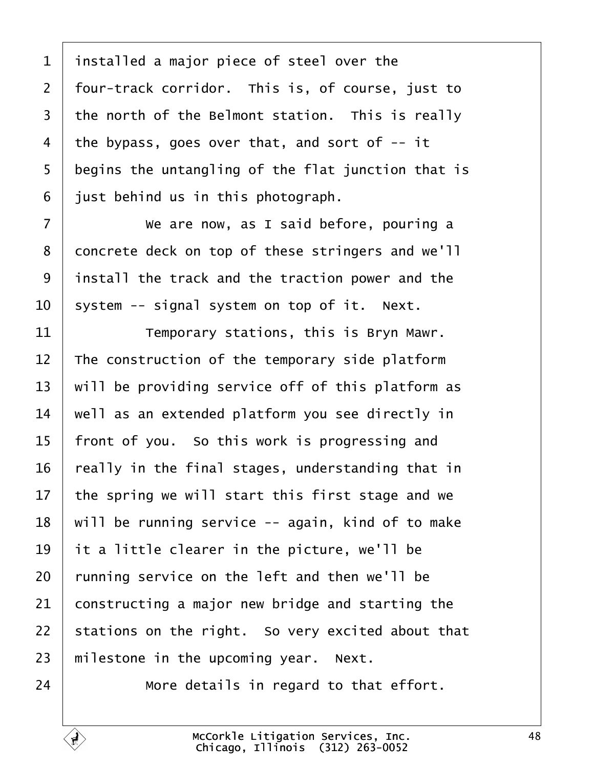<span id="page-47-0"></span> installed a major piece of steel over the | four-track corridor. This is, of course, just to the north of the Belmont station. This is really 4 | the bypass, goes over that, and sort of  $-$  it begins the untangling of the flat junction that is iust behind us in this photograph.

7 We are now, as I said before, pouring a 8 concrete deck on top of these stringers and we'll | install the track and the traction power and the system -- signal system on top of it. Next.

  $\begin{array}{ccc} \end{array}$   $\begin{array}{ccc} \end{array}$   $\begin{array}{ccc} \end{array}$   $\begin{array}{ccc} \end{array}$   $\begin{array}{ccc} \end{array}$   $\begin{array}{ccc} \end{array}$   $\begin{array}{ccc} \end{array}$   $\begin{array}{ccc} \end{array}$   $\begin{array}{ccc} \end{array}$   $\begin{array}{ccc} \end{array}$   $\begin{array}{ccc} \end{array}$   $\begin{array}{ccc} \end{array}$   $\begin{array}{ccc} \end{array}$   $\begin{array}{ccc} \end{array}$   $\begin{array}{$  The construction of the temporary side platform  $\vert$  will be providing service off of this platform as  $\parallel$  well as an extended platform you see directly in | front of you. So this work is progressing and really in the final stages, understanding that in  $\vert$  the spring we will start this first stage and we | will be running service -- again, kind of to make it a little clearer in the picture, we'll be running service on the left and then we'll be constructing a major new bridge and starting the stations on the right. So very excited about that  $\parallel$  milestone in the upcoming year. Next.

 $\parallel$  **more details in regard to that effort.** 

Ę,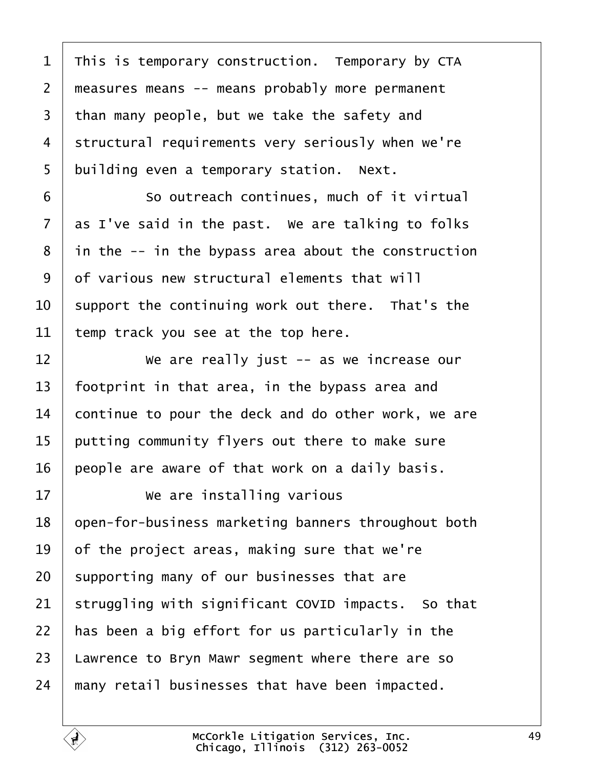<span id="page-48-0"></span> This is temporary construction. Temporary by CTA 2 | measures means -- means probably more permanent than many people, but we take the safety and 4 | structural requirements very seriously when we're building even a temporary station. Next.

6 | So outreach continues, much of it virtual as I've said in the past. We are talking to folks in the  $-$  in the bypass area about the construction  $9 \mid$  of various new structural elements that will  $\vert$  support the continuing work out there. That's the temp track you see at the top here.

  $\parallel$  we are really just -- as we increase our footprint in that area, in the bypass area and continue to pour the deck and do other work, we are putting community flyers out there to make sure | people are aware of that work on a daily basis.

**We are installing various** 18 | open-for-business marketing banners throughout both  $\vert$  of the project areas, making sure that we're supporting many of our businesses that are struggling with significant COVID impacts. So that  $\vert$  has been a big effort for us particularly in the 23 | Lawrence to Bryn Mawr segment where there are so  $\parallel$  many retail businesses that have been impacted.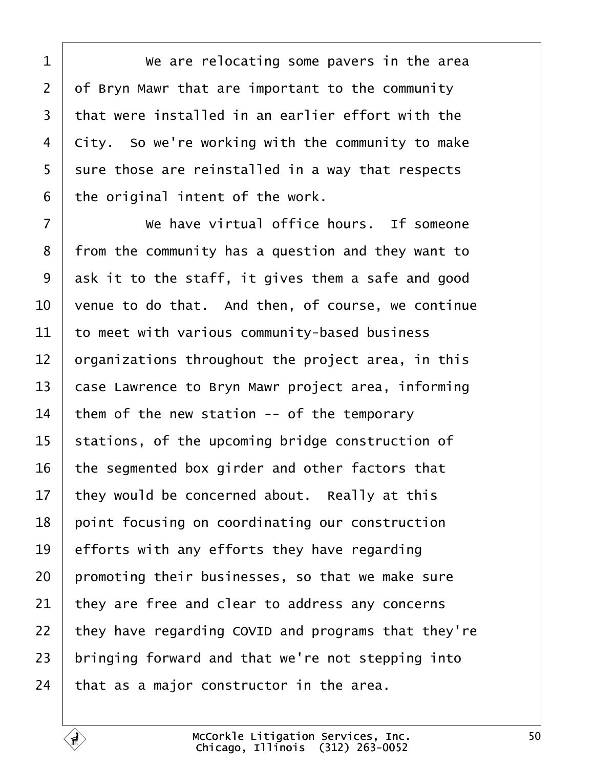<span id="page-49-0"></span>**We are relocating some pavers in the area**  of Bryn Mawr that are important to the community  $\vert$  that were installed in an earlier effort with the city. So we're working with the community to make | sure those are reinstalled in a way that respects the original intent of the work.

**I** *We have virtual office hours.* If someone 8 | from the community has a question and they want to ask it to the staff, it gives them a safe and good  $\vert$  venue to do that. And then, of course, we continue  $\vert$  to meet with various community-based business  $\vert$  organizations throughout the project area, in this 13 | case Lawrence to Bryn Mawr project area, informing them of the new station -- of the temporary stations, of the upcoming bridge construction of the segmented box girder and other factors that they would be concerned about. Really at this 18 point focusing on coordinating our construction  $\vert$  efforts with any efforts they have regarding promoting their businesses, so that we make sure they are free and clear to address any concerns | they have regarding COVID and programs that they're bringing forward and that we're not stepping into that as a major constructor in the area.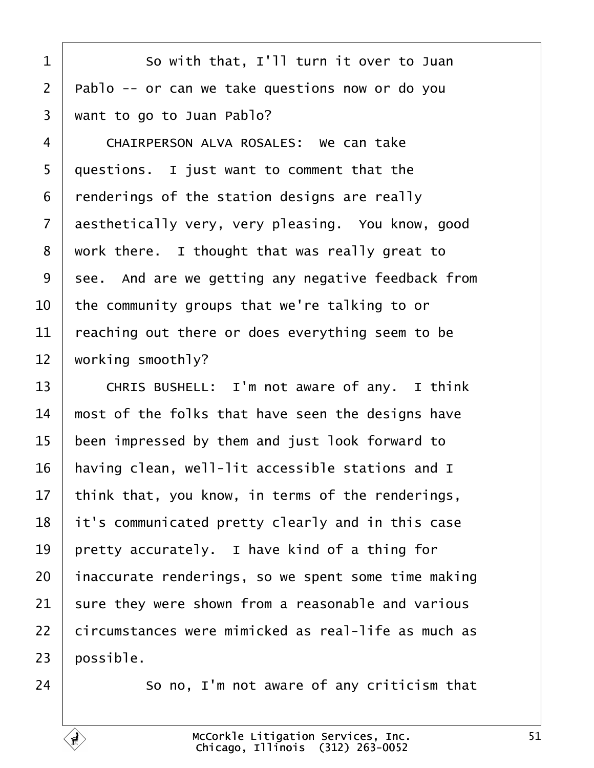<span id="page-50-0"></span>1 So with that, I'll turn it over to Juan  $2$  | Pablo -- or can we take questions now or do you  $3$  want to go to Juan Pablo?

4 CHAIRPERSON ALVA ROSALES: We can take | questions. I just want to comment that the | renderings of the station designs are really 7 aesthetically very, very pleasing. You know, good work there. I thought that was really great to 9 | see. And are we getting any negative feedback from  $\vert$  the community groups that we're talking to or  $\vert$  reaching out there or does everything seem to be working smoothly?

13 CHRIS BUSHELL: I'm not aware of any. I think  $14$   $\parallel$  most of the folks that have seen the designs have 15 been impressed by them and just look forward to  $16$  | having clean, well-lit accessible stations and I 17 | think that, you know, in terms of the renderings,  $18$  it's communicated pretty clearly and in this case 19 | pretty accurately. I have kind of a thing for  $20$  inaccurate renderings, so we spent some time making  $21$  sure they were shown from a reasonable and various 22 circumstances were mimicked as real-life as much as  $23$  | possible.

 $24$   $\vert$  50 no, I'm not aware of any criticism that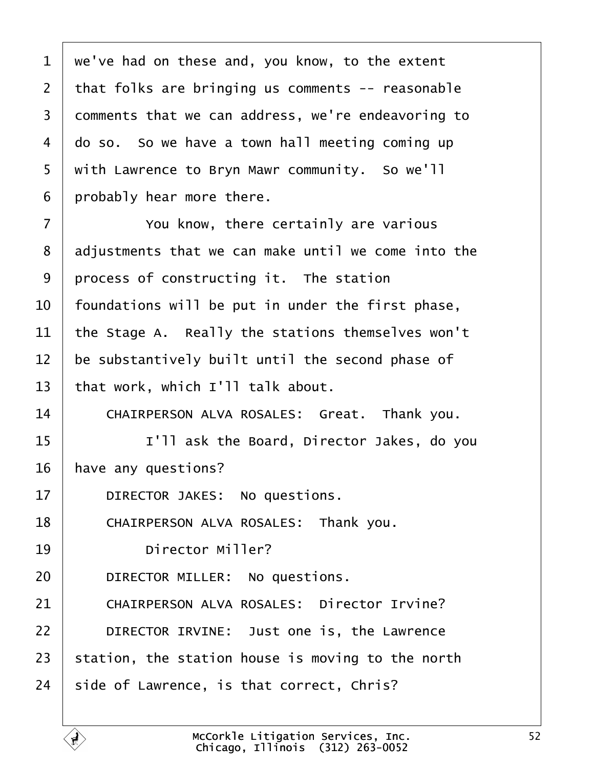<span id="page-51-0"></span> we've had on these and, you know, to the extent that folks are bringing us comments  $-$  reasonable 3 comments that we can address, we're endeavoring to do so. So we have a town hall meeting coming up 5 | with Lawrence to Bryn Mawr community. So we'll | probably hear more there.

**Fig. 2** You know, there certainly are various 8 adjustments that we can make until we come into the  $\vert$  process of constructing it. The station | foundations will be put in under the first phase,  $\vert$  the Stage A. Really the stations themselves won't  $\parallel$  be substantively built until the second phase of 13 | that work, which  $I'$ ll talk about.

14 CHAIRPERSON ALVA ROSALES: Great. Thank you.

15 | T'll ask the Board, Director Jakes, do you 16 | have any questions?

17 DIRECTOR JAKES: No questions.

18 | CHAIRPERSON ALVA ROSALES: Thank you.

19 birector Miller?

20 **DIRECTOR MILLER:** No questions.

21 CHAIRPERSON ALVA ROSALES: Director Irvine? **DIRECTOR IRVINE:** Just one is, the Lawrence station, the station house is moving to the north side of Lawrence, is that correct, Chris?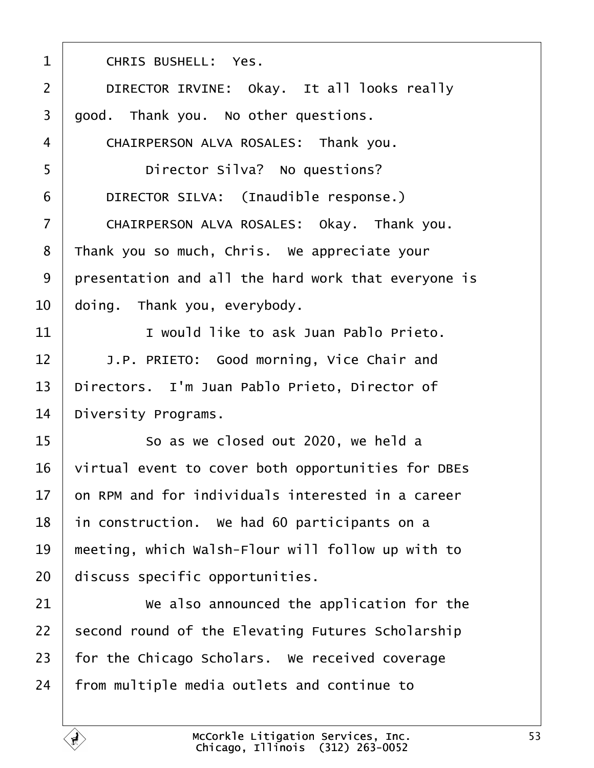<span id="page-52-0"></span>1 CHRIS BUSHELL: Yes. 2 | DIRECTOR IRVINE: Okay. It all looks really  $3 \mid$  good. Thank you. No other questions. 4 CHAIRPERSON ALVA ROSALES: Thank you. ·5· · · · · · Director Silva?· No questions? 6 DIRECTOR SILVA: (Inaudible response.) 7 CHAIRPERSON ALVA ROSALES: Okay. Thank you. 8 Thank you so much, Chris. We appreciate your 9 presentation and all the hard work that everyone is  $10$  doing. Thank you, everybody. 11  $\parallel$  **11** would like to ask Juan Pablo Prieto. 12 | J.P. PRIETO: Good morning, Vice Chair and 13 | Directors. I'm Juan Pablo Prieto, Director of 14 Diversity Programs. 15 | So as we closed out 2020, we held a 16 | virtual event to cover both opportunities for DBEs  $17$   $\vert$  on RPM and for individuals interested in a career  $18$  in construction. We had 60 participants on a  $19$   $\parallel$  meeting, which Walsh-Flour will follow up with to  $20$  discuss specific opportunities. 21 | We also announced the application for the  $22$  second round of the Elevating Futures Scholarship  $23$  for the Chicago Scholars. We received coverage  $24$  | from multiple media outlets and continue to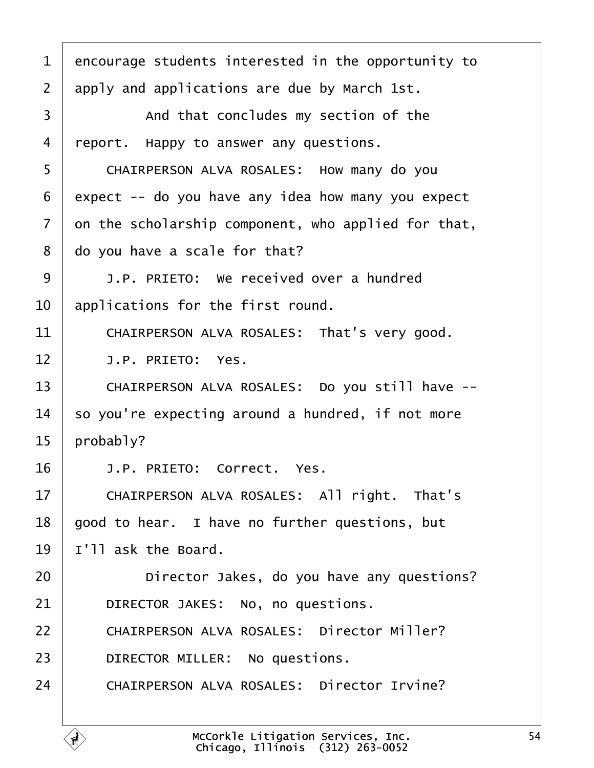<span id="page-53-0"></span>1 encourage students interested in the opportunity to  $2$  apply and applications are due by March 1st. 3 and that concludes my section of the 4 | report. Happy to answer any questions. 5 | CHAIRPERSON ALVA ROSALES: How many do you  $6$  expect -- do you have any idea how many you expect  $7$   $\vert$  on the scholarship component, who applied for that,  $8$   $\vert$  do you have a scale for that? 9 **J.P. PRIETO:** We received over a hundred  $10$  applications for the first round. 11 | CHAIRPERSON ALVA ROSALES: That's very good.  $12$   $\vert$   $\vert$   $1.$  P. PRIETO: Yes. 13 | CHAIRPERSON ALVA ROSALES: Do you still have -- $14$  so you're expecting around a hundred, if not more  $15$  | probably? 16<sup>·</sup> **J.P. PRIETO:** Correct. Yes. 17 | CHAIRPERSON ALVA ROSALES: All right. That's  $18$  | good to hear. I have no further questions, but  $19$  | I'll ask the Board. 20 **Director Jakes, do you have any questions**? 21 DIRECTOR JAKES: No, no questions. 22 | CHAIRPERSON ALVA ROSALES: Director Miller? 23 **DIRECTOR MILLER:** No questions. 24 CHAIRPERSON ALVA ROSALES: Director Irvine?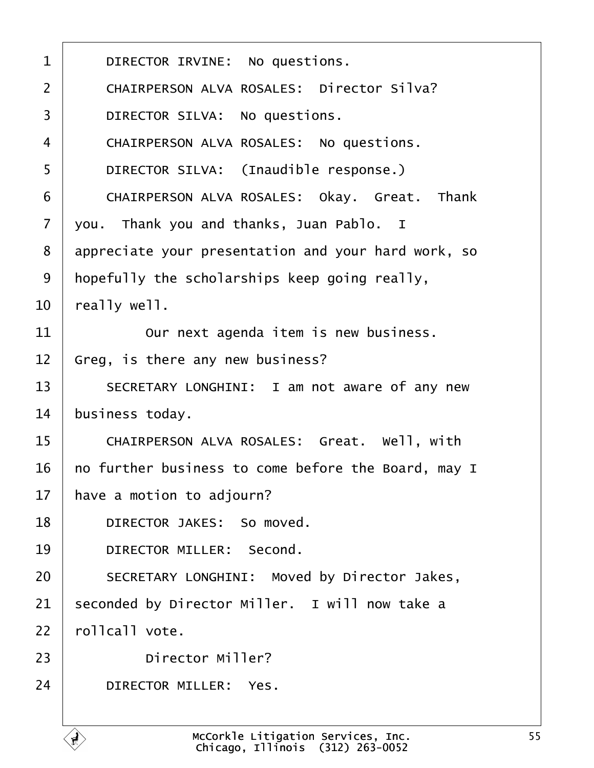| $\mathbf 1$    | DIRECTOR IRVINE: No questions.                      |
|----------------|-----------------------------------------------------|
| $\overline{2}$ | CHAIRPERSON ALVA ROSALES: Director Silva?           |
| 3              | DIRECTOR SILVA: No questions.                       |
| $\overline{4}$ | CHAIRPERSON ALVA ROSALES: No questions.             |
| 5              | DIRECTOR SILVA: (Inaudible response.)               |
| 6              | CHAIRPERSON ALVA ROSALES: Okay. Great. Thank        |
| $\overline{7}$ | you. Thank you and thanks, Juan Pablo. I            |
| 8              | appreciate your presentation and your hard work, so |
| 9              | hopefully the scholarships keep going really,       |
| 10             | really well.                                        |
| 11             | Our next agenda item is new business.               |
| 12             | Greg, is there any new business?                    |
| 13             | SECRETARY LONGHINI: I am not aware of any new       |
| 14             | business today.                                     |
| 15             | CHAIRPERSON ALVA ROSALES: Great. Well, with         |
| 16             | no further business to come before the Board, may I |
| 17             | have a motion to adjourn?                           |
| 18             | DIRECTOR JAKES: So moved.                           |
| 19             | DIRECTOR MILLER: Second.                            |
| 20             | SECRETARY LONGHINI: Moved by Director Jakes,        |
| 21             | seconded by Director Miller. I will now take a      |
| 22             | rollcall vote.                                      |
| 23             | Director Miller?                                    |
| 24             | DIRECTOR MILLER: Yes.                               |
|                |                                                     |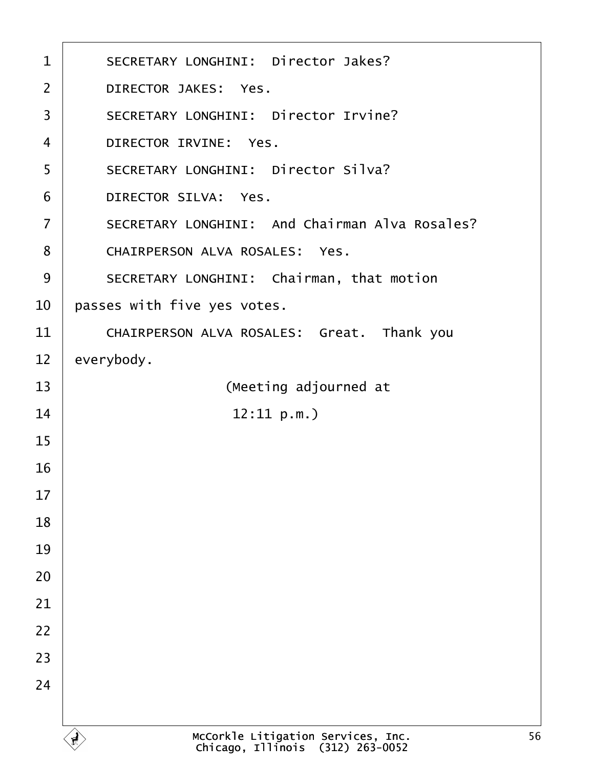| $\mathbf{1}$      | SECRETARY LONGHINI: Director Jakes?                                    |
|-------------------|------------------------------------------------------------------------|
| $\overline{2}$    | DIRECTOR JAKES: Yes.                                                   |
| 3                 | SECRETARY LONGHINI: Director Irvine?                                   |
| 4                 | DIRECTOR IRVINE: Yes.                                                  |
| 5                 | SECRETARY LONGHINI: Director Silva?                                    |
| 6                 | DIRECTOR SILVA: Yes.                                                   |
| $\overline{7}$    | SECRETARY LONGHINI: And Chairman Alva Rosales?                         |
| 8                 | CHAIRPERSON ALVA ROSALES: Yes.                                         |
| 9                 | SECRETARY LONGHINI: Chairman, that motion                              |
| 10                | passes with five yes votes.                                            |
| 11                | CHAIRPERSON ALVA ROSALES: Great. Thank you                             |
| $12 \overline{ }$ | everybody.                                                             |
| 13                | (Meeting adjourned at                                                  |
| 14                | 12:11 p.m.                                                             |
| 15                |                                                                        |
| 16                |                                                                        |
| 17                |                                                                        |
| 18                |                                                                        |
| 19                |                                                                        |
| 20                |                                                                        |
| 21                |                                                                        |
| 22                |                                                                        |
| 23                |                                                                        |
| 24                |                                                                        |
|                   |                                                                        |
|                   | McCorkle Litigation Services, Inc.<br>Chicago, Illinois (312) 263-0052 |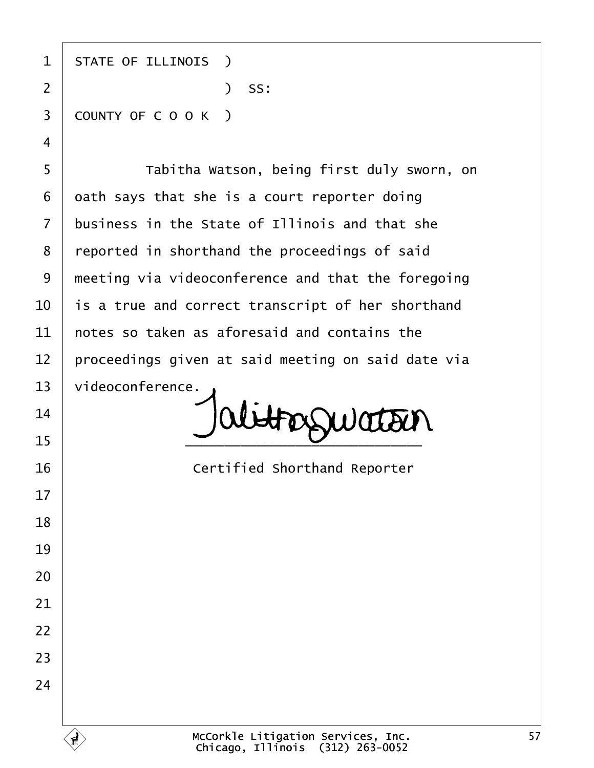1 | STATE OF ILLINOIS ) ·2· · · · · · · · · · · )· SS: 3 COUNTY OF C O O K ) 5 | Tabitha Watson, being first duly sworn, on oath says that she is a court reporter doing business in the State of Illinois and that she 8 | reported in shorthand the proceedings of said | meeting via videoconference and that the foregoing  $\vert$  is a true and correct transcript of her shorthand  $\pm$  notes so taken as aforesaid and contains the proceedings given at said meeting on said date via 13 | videoconference.  $\bigcup_{15}$   $\bigcup$  abtroguation **Certified Shorthand Reporter**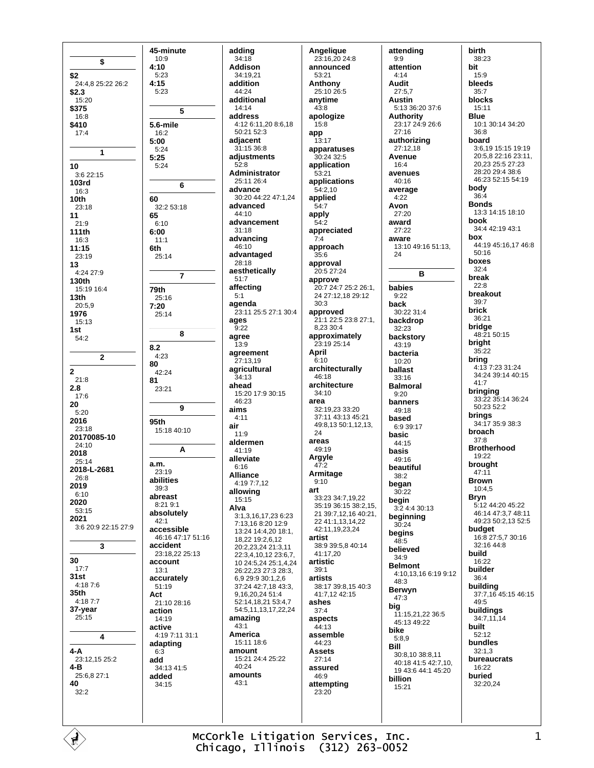\$ \$2 24:4,8 25:22 26:2  $$2.3$  $15:20$ \$375  $16.8$ \$410  $17:4$ 1  $10$  $3:622:15$ **103rd**  $16.3$  $10<sub>th</sub>$ 23:18  $11$  $21.9$ 111th  $16:3$  $11:15$ 23:19 13 4:24 27:9 130th 15:19 16:4  $13<sub>th</sub>$  $20:5,9$ 1976 15:13 1st  $54:2$  $\mathbf{2}$  $\overline{2}$  $21:8$  $2.8$  $17:6$ 20  $5:20$ 2016  $23.18$ 20170085-10 24:10 2018  $25:14$ 2018-L-2681 26:8 2019  $6:10$ 2020 53:15 2021 3:6 20:9 22:15 27:9  $\mathbf{\hat{z}}$ 30  $17.7$  $31st$  $4:187:6$ 35th 4:18 7:7 37-year  $25:15$ 4  $4 - A$ 23:12,15 25:2  $4 - R$ 25:6,8 27:1 40  $32:2$ 

adding  $34:18$ **Addison**  $34.1921$ addition  $44.24$ additional 14:14 address  $4.12611208618$  $50.2152.3$ adjacent 31:15 36:8 adjustments  $52.8$ Administrator  $25.1126.4$ advance 30:20 44:22 47:1,24 advanced  $44.10$ advancement  $31:18$ advancing 46:10 advantaged 28:18 aesthetically  $51:7$ affecting  $5:1$ agenda 23:11 25:5 27:1 30:4 ages  $9:22$ agree  $13.9$ agreement 27:13,19 agricultural  $34.13$ ahead 15:20 17:9 30:15  $46.23$ aims  $4:11$ air  $15:1840:10$  $11.9$ aldermen 41:19 alleviate  $6:16$ **Alliance** 4:19 7:7,12 allowing  $15:15$ Alva 3:1.3.16.17.23 6:23  $7.13$  16 8.20 12.9  $13.24$   $14.4$   $20$   $18.1$ 46:16 47:17 51:16 18.22 19:2.6.12 20:2,23,24 21:3,11 23:18.22 25:13 22:3,4,10,12 23:6,7, 10 24:5,24 25:1,4,24 26:22,23 27:3 28:3, 6.9 29:9 30:1.2.6 37:24 42:7,18 43:3, 9,16,20,24 51:4  $21:1028:16$ 52:14,18,21 53:4,7 54:5.11.13.17.22.24 amazing  $43.1$ America 4:19 7:11 31:1 15:11 18:6 amount 15:21 24:4 25:22  $40.24$ amounts  $43:1$ 

45-minute

 $10:9$ 

 $5.23$ 

 $5.23$ 

5.6-mile

 $16:2$ 

 $5.24$ 

 $5:24$ 

 $5:00$ 

 $5:25$ 

60

65

 $6.10$ 

 $11:1$ 

25:14

 $6:00$ 

6th

79th

 $7:20$ 

 $8.2$ 

80

81

 $4.23$ 

 $42:24$ 

23:21

 $95th$ 

a.m.

 $23:19$ 

abilities

 $39.3$ 

 $42.1$ 

abreast

 $8.219.1$ 

absolutely

accessible

accident

account

accurately

 $13:1$ 

51:19

action

active

 $6:3$ 

added

 $34:15$ 

add

É

14:19

adapting

34:13 41:5

Act

 $25.16$ 

25:14

5

6

 $\overline{7}$ 

8

9

 $\Delta$ 

32:2 53:18

 $4:10$ 

 $4.15$ 

Angelique 23:16,20 24:8 announced  $53.21$ Anthony 25:10 26:5 anytime  $43:8$ apologize  $15.8$ app 13:17 apparatuses 30:24 32:5 application 53:21 applications  $54:2,10$ applied  $54:7$ apply  $54:2$ appreciated  $7:4$ approach  $35.6$ approval 20:5 27:24 approve 20:7 24:7 25:2 26:1. 24 27:12,18 29:12  $30.3$ approved 21:1 22:5 23:8 27:1, 8,23 30:4 approximately  $23:1925:14$ April  $6:10$ architecturally  $46.18$ architecture  $34.10$ area 32:19,23 33:20 37:11 43:13 45:21 49:8,13 50:1,12,13,  $24$ areas  $49.19$ Argyle  $47.2$ Armitage  $9:10$ art 33:23 34:7 19 22 35:19 36:15 38:2 15 21 39:7.12.16 40:21. 22 41:1, 13, 14, 22 42:11,19,23,24 artist 38:9 39:5,8 40:14 41:17.20 artistic  $39.1$ artists 38:17 39:8,15 40:3 41:7,12 42:15 ashes  $37.4$ aspects 44:13 assemble 44:23 **Assets**  $27.14$ assured  $46.9$ attempting  $23.20$ 

attending  $9:9$ attention  $4.14$ Audit  $27:57$ **Austin** 5:13 36:20 37:6 **Authority** 23:17 24:9 26:6  $27.16$ authorizing 27:12.18 Avenue  $16.4$ avenues  $40.16$ average  $4:22$ Avon  $27.20$ award 27:22 aware 13:10 49:16 51:13, 24 B babies  $9.22$ back 30:22 31:4 backdrop  $32.23$ backstory  $43:19$ bacteria  $10.20$ ballast  $33.16$ **Balmoral**  $9.20$ banners 49:18 hased  $6.9.39.17$ basic 44:15 basis  $49.16$ beautiful 38:2 began  $30:22$ begin 3:2 4:4 30:13 beginning  $30:24$ begins<br> $48:5$ believed 34:9 **Belmont** 4:10,13,16 6:19 9:12  $48.3$ Berwyn 47:3 big 11:15,21,22 36:5 45:13 49:22 bike  $5.89$ Bill 30:8,10 38:8,11 40:18 41:5 42:7,10, 19 43:6 44:1 45:20 billion  $15:21$ 

hirth 38:23 bit  $15.9$ bleeds  $35.7$ blocks 15:11 **Blue** 10:1 30:14 34:20  $36.8$ board 3:6,19 15:15 19:19 20:5,8 22:16 23:11, 20,23 25:5 27:23 28:20 29:4 38:6 46:23 52:15 54:19 body  $36.4$ **Bonds** 13:3 14:15 18:10 book 34:4 42:19 43:1 box 44:19 45:16,17 46:8  $50:16$ boxes  $32:4$ break  $22.8$ breakout 39:7 brick  $36.21$ bridge 48:21 50:15 bright  $35:22$ bring 4:13 7:23 31:24 34:24 39:14 40:15  $41.7$ bringing 33:22 35:14 36:24 50:23 52:2 brinas 34:17 35:9 38:3 **broach**  $37.8$ **Brotherhood** 19:22 brought  $47.11$ **Brown**  $10:4,5$ **Bryn** 5:12 44:20 45:22 46:14 47:3 7 48:11 49:23 50:2,13 52:5 budget 16:8 27:5,7 30:16 32:16 44:8 build 16:22 builder 36:4 building 37:7,16 45:15 46:15  $49.5$ buildings 34:7,11,14 **built** 52:12 bundles  $32:1.3$ **hureaucrats**  $16.22$ buried 32:20,24

McCorkle Litigation Services, Inc. Chicago, Illinois (312) 263-0052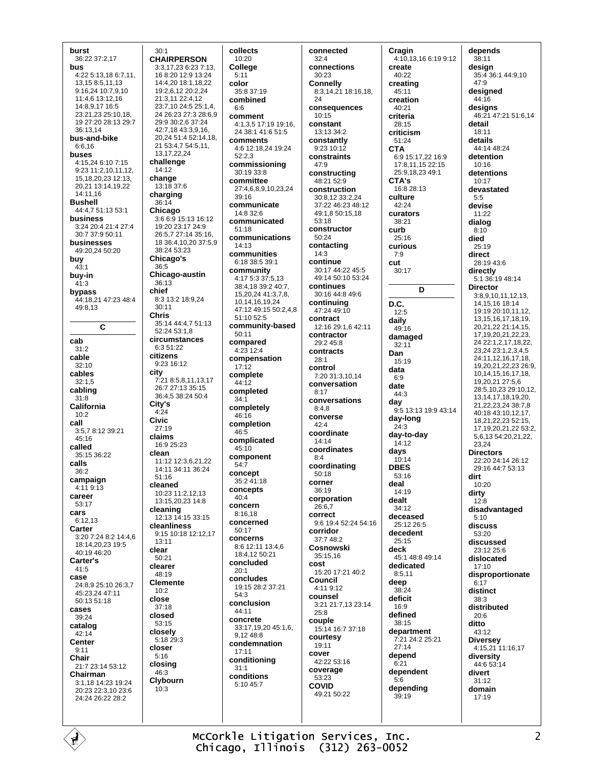13.15 8:5.11.13  $9.162410.7910$  $11.4613.1216$ 14:8,9,17 16:5 23:21,23 25:10,18, 19 27:20 28:13 29:7 36:13.14 bus-and-bike  $6:6,16$ **buses**  $4.15246.107.15$  $14.12$ 9:23 11:2,10,11,12, 15, 18, 20, 23 12: 13, change 20.21 13:14.19.22  $14.1116$ charging **Bushell**  $36:14$ 44:4,7 51:13 53:1 Chicago business  $3.2420.421.427.4$ 30:7 37:9 50:11 businesses 49:20,24 50:20 buv 36:5  $43.1$ buy-in  $36.13$  $41:3$ bypass chief 44:18,21 47:23 48:4  $30.11$  $49.813$ **Chris** C cab  $31:2$ citizens cable  $32:10$ city cables  $32:1.5$ cabling  $31.8$ City's California  $4:24$  $10:2$ **Civic** call 3:5.7 8:12 39:21  $27:19$ claime  $45.16$ called clean 35:15 36:22 calls  $36:2$ 51:16 campaign cleaned  $4.119.13$ career  $53.17$ cleaning cars  $6.1213$ Carter 3:20 7:24 8:2 14:4,6  $13.11$ 18:14.20.23 19:5 clear  $40.1946.20$  $50:21$ Carter's clearer  $41:5$  $48.19$ case  $24.8925.1026.37$  $10:2$ 45.23.24.47.11 close 50:13 51:18  $37:18$ cases closed  $39.24$  $53:15$ catalog closelv  $42:14$ Center closer  $9:11$  $5:16$ Chair closing 21:7 23:14 53:12  $46.3$ Chairman 3:1 18 14:23 19:24  $10:3$ 20:23 22:3,10 23:6 24:24 26:22 28:2

burst

bus

36:22 37:2,17

4:22 5:13.18 6:7.11.

 $30.1$ **CHAIRPERSON** 3:3.17.23 6:23 7:13. 168:2012:913:24 14:4.20 18:1.18.22  $19.261220.224$ 21:3.11 22:4.12 23:7,10 24:5 25:1,4, 24 26:23 27:3 28:6,9 29:9.30:2.6.37:24 42:7.18 43:3.9.16. 20,24 51:4 52:14,18, 21 53:4,7 54:5,11, 13, 17, 22, 24 challenge 13:18 37:6  $3.66915.1316.12$ 19:20 23:17 24:9 26:5.7 27:14 35:16. 18 36:4, 10, 20 37:5, 9  $38.2453.23$ Chicago's Chicago-austin 8:3 13:2 18:9,24 35:14 44:4.7 51:13  $52.2453.18$ circumstances  $6:3.51:22$ 9:23 16:12 7:21 8:5 8 11 13 17 26:7 27:13 35:15 36:4,5 38:24 50:4 16:9 25:23 11:12 12:3,6,21,22 14:11 34:11 36:24 10:23 11:2,12,13 13:15.20.23 14:8 12:13 14:15 33:15 cleanliness 9:15 10:18 12:12.17 **Clemente** 5:18 29:3 Clybourn

collects 10:20 **College**  $5:11$ color  $35.837.19$ combined comment  $4.13517.1919.16$ 24 38:1 41:6 51:5 comments 4:6 12:18,24 19:24  $52:2.3$ commissioning  $30:19.33:8$ committee 27:4,6,8,9,10,23,24  $39.16$ communicate 14:8 32:6 communicated  $51.18$ communications  $14:13$ communities  $6.18.38.5.39.1$ community 4:17 5:3 37:5,13 38:4,18 39:2 40:7, 15,20,24 41:3,7,8, 10, 14, 16, 19, 24 47:12 49:15 50:2,4,8 51:10 52:5 community-based  $50:11$ compared 4:23 12:4 compensation  $17:12$ complete  $44.12$ completed completely  $46.16$ completion complicated 45:10 component concept 35:2 41:18 concepts  $40:4$ concern  $8:16,18$ concerned  $50:17$ concerns 8:6 12:11 13:4 6 18:4 12 50:21 concluded concludes 19:15 28:2 37:21  $54:3$ conclusion 44:11 concrete 33:17.19.20 45:1.6. 9,12 48:8 condemnation  $17.11$ conditioning conditions 5:10 45:7

 $34:1$ 

 $46:5$ 

 $54.7$ 

 $20:1$ 

 $31:1$ 

 $6:6$ 

connected  $32:4$ connections  $30.23$ Connelly 8:3,14,21 18:16,18, 24 consequences  $10.15$ constant  $13.1334.2$ constantly 9:23 10:12 constraints  $47.9$ constructing 48:21 52:9 construction 30:8,12 33:2,24 37:22 46:23 48:12 49:1.8 50:15.18 53:18 constructor 50:24 contacting  $14:3$ continue 30:17 44:22 45:5 49:14 50:10 53:24 continues 30:16 44:8 49:6 continuing 47:24 49:10 contract 12:16 29:1.6 42:11 contractor 29:2 45:8 contracts  $28:1$ control 7:20 31:3.10.14 conversation  $8:17$ conversations  $8.48$ converse 42:4 coordinate  $14.14$ coordinates  $8:4$ coordinating 50:18 corner  $36:19$ corporation 26:6.7 correct 9:6 19:4 52:24 54:16 corridor  $37.748.2$ Cosnowski 35:15.16 cost 15:20 17:21 40:2 Council 4:11 9:12 counsel 3:21 21:7,13 23:14  $25:8$ couple 15:14 16:7 37:18 courtesy 19:11 cover  $42.2253.16$ coverage 53:23 **COVID** 49:21 50:22

Cragin 4:10,13,16 6:19 9:12 create  $40.22$ creating  $45.11$ creation 40:21 criteria  $28.15$ criticism 51:24 **CTA** 6:9 15:17,22 16:9 17:8 11 15 22:15 25:9,18,23 49:1 CTA's  $16.828.13$ culture 42:24 curators  $38.21$ curb  $25:16$ curious  $7.9$ cut 30:17 D D.C.  $12:5$ daily  $49.16$ damaged 32:11 Dan  $15:19$ data  $6.9$ date 44:3 dav 9:5 13:13 19:9 43:14 dav-long  $24:3$ day-to-day  $14:12$ days  $10.14$ **DBES** 53:16 deal 14:19 dealt  $34:12$ deceased 25:12 26:5 decedent  $25.15$ deck 45.1 48.8 49.14 dedicated  $8:5.11$ deen  $38.24$ deficit  $16:9$ defined  $38.15$ department 7:21 24:2 25:21  $27.14$ depend  $6:21$ dependent  $5.6$ depending  $39:19$ 

depends  $38:11$ desian 35:4 36:1 44:9,10  $47:9$ designed 44:16 designs 46:21 47:21 51:6,14 detail  $18.11$ details 44:14 48:24 detention  $10.16$ detentions  $10.17$ devastated  $5.5$ devise  $11.22$ dialog  $8:10$ died  $25:19$ direct 28:19 43:6 directly 5:1 36:19 48:14 **Director** 3:8.9.10.11.12.13. 14, 15, 16 18: 14 19:19 20:10 11 12 13.15.16.17.18.19. 20,21,22 21:14,15, 17, 19, 20, 21, 22, 23, 24 22:1,2,17,18,22, 23,24 23:1,2,3,4,5 24:11,12,16,17,18, 19,20,21,22,23 26:9, 10.14.15.16.17.18. 19,20,21 27:5,6 28:5,10,23 29:10,12, 13, 14, 17, 18, 19, 20, 21,22,23,24 38:7,8 40:18 43:10.12.17. 18 21 22 23 52 15 17, 19, 20, 21, 22 53: 2, 5 6 13 54 20 21 22 23.24 **Directors** 22:20 24:14 26:12 29:16 44:7 53:13 dirt  $10:20$ dirty  $12.8$ disadvantaged  $5:10$ discuss  $53.20$ discussed 23:12 25:6 dislocated  $17:10$ disproportionate  $6.17$ distinct  $38:3$ distributed  $20:6$ ditto 43:12 **Diversey** 4:15,21 11:16,17 diversity  $44.653.14$ divert  $31:12$ domain  $17.19$ 

McCorkle Litigation Services, Inc. Chicago, Illinois (312) 263-0052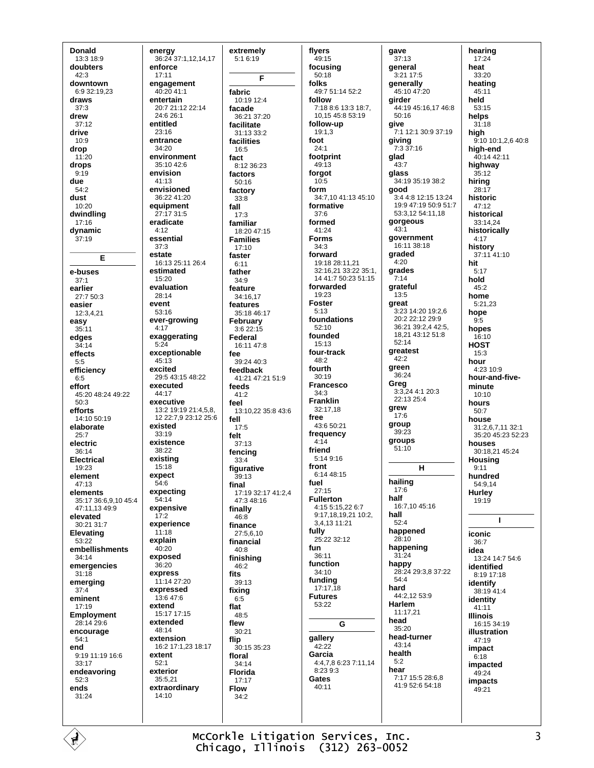**Donald** 13:3 18:9 doubters  $42.3$ downtown  $6.932.1923$ draws  $37:3$ drew  $37.12$ drive  $10:9$ drop 11:20 drops  $9:19$ due 54:2 dust  $10:20$ dwindling  $17:16$ dynamic  $37:19$ Е e-buses  $37.1$ earlier  $27.750.3$ easier 12:3.4.21 easy  $35:11$ edges  $34:14$ effects  $5.5$ efficiency  $6:5$ effort 45:20 48:24 49:22  $50:3$ efforts  $14.1050.19$ elaborate  $25.7$ electric  $36.14$ **Electrical** 19:23 element  $47.13$ elements 35:17 36:6.9.10 45:4 47:11.13 49:9 elevated 30:21 31:7 Elevating 53:22 embellishments 34:14 emergencies  $31:18$ emerging  $37.4$ eminent  $17:19$ **Employment**  $28.14296$ encourage  $54:1$ end 9:19 11:19 16:6 33:17 endeavoring  $52.3$ ends  $31:24$ 

energy 36:24 37:1,12,14,17 enforce  $17.11$ engagement 40:20 41:1 entertain 20:7 21:12 22:14 24:6 26:1 entitled  $23.16$ entrance  $34:20$ environment  $35:1042.6$ envision  $41.13$ envisioned 36:22 41:20 equipment  $27.17.31.5$ eradicate  $4:12$ essential  $37:3$ estate 16:13 25:11 26:4 estimated 15:20 evaluation 28:14 event  $53:16$ ever-growing  $4:17$ exaggerating  $5.24$ exceptionable  $45:13$ excited 29:5 43:15 48:22 executed 44:17 executive  $13:2$  19:19 21:4,5,8, 12 22:7,9 23:12 25:6 existed  $33.19$ existence 38:22 existing  $15:18$ expect  $54:6$ expecting  $54.14$ expensive  $17.2$ experience  $11:18$ explain  $40:20$ exposed  $36.20$ express 11:14 27:20 expressed  $13.647.6$ extend 15:17 17:15 extended  $48.14$ extension 16:2 17:1,23 18:17 extent  $52:1$ exterior 35:5.21 extraordinary 14:10

extremely 5:1 6:19 F fabric 10:19 12:4 facade  $36.2137.20$ facilitate 31:13 33:2 facilities  $16:5$ fact  $8.12.36.23$ factors 50:16 factory  $33.8$ fall  $17:3$ familiar 18:20 47:15 **Families**  $17:10$ faster  $6:11$ father  $34.9$ feature  $34.16$  17 features 35:18 46:17 February  $3.622.15$ Federal 16:11 47:8 fee 39:24 40:3 feedback 41:21 47:21 51:9 feeds  $41:2$ feel 13:10,22 35:8 43:6 fell  $17:5$ felt  $37:13$ fencing  $33.4$ figurative 39:13 final 17:19 32:17 41:2 4 47:3 48:16 finally  $46:8$ finance 27:5.6.10 financial  $40.8$ finishina 46:2 fits  $39.13$ fixing  $6:5$ flat  $48:5$ flew  $30:21$ flip  $30:1535:23$ floral  $34:14$ Florida  $17:17$ **Flow**  $34.2$ 

flyers  $49:15$ focusina  $50.18$ folks 49.7 51.14 52.2 follow 7:18 8:6 13:3 18:7, 10,15 45:8 53:19 follow-up  $19.13$ foot  $24:1$ footprint  $49.13$ forgot  $10.5$ form 34:7,10 41:13 45:10 formative  $37.6$ formed 41:24 **Forms**  $34:3$ forward 19:18 28:11.21 32:16,21 33:22 35:1, 14 41:7 50:23 51:15 forwarded 19:23 **Foster**  $5.13$ foundations 52:10 founded  $15:13$ four-track 48:2 fourth  $30.19$ **Francesco**  $34.3$ **Franklin** 32:17,18 free 43:6 50:21 frequency  $4.14$ friend 5:14 9:16 front  $6:1448:15$ fuel  $27:15$ **Fullerton** 4:15 5:15,22 6:7 9:17,18,19,21 10:2, 3.4.13 11:21 fully  $25.22.32.12$ fun 36:11 function  $34.10$ funding  $17:17,18$ **Futures** 53:22 G gallerv  $42.22$ Garcia 4:4,7,8 6:23 7:11,14  $8.2393$ Gates  $40.11$ 

qave  $37:13$ deneral 3:21 17:5 generally 45:10 47:20 girder 44:19 45:16,17 46:8  $50.16$ give 7:1 12:1 30:9 37:19 giving<br> $7:337:16$ glad  $43.7$ glass 34:19 35:19 38:2 good 3:4 4:8 12:15 13:24 19:9 47:19 50:9 51:7 53:3,12 54:11,18 gorgeous  $43 - 1$ government 16:11 38:18 araded  $4.20$ grades  $7.14$ grateful  $13:5$ great  $3:23$  14:20 19:2.6  $20.222.122999$ 36:21 39:2.4 42:5. 18,21 43:12 51:8  $52.14$ greatest  $42.2$ green  $36.24$ Greg 3:3,24 4:1 20:3 22:13 25:4 grew  $17.6$ group  $39:23$ groups  $51:10$  $H$ hailing  $17.6$ half 16:7,10 45:16 hall  $52.4$ happened 28:10 happening  $31:24$ happy 28:24 29:3,8 37:22  $54.4$ hard 44:2,12 53:9 Harlem  $11.1721$ head  $35.20$ head-turner 43:14 health  $5:2$ hear 7:17 15:5 28:6.8 41:9 52:6 54:18

hearing  $17:24$ heat  $33.20$ heating  $45.11$ held 53:15 helps  $31.18$ high 9:10 10:1,2,6 40:8 high-end 40:14 42:11 highway  $35:12$ hiring  $28:17$ historic  $47:12$ historical 33:14,24 historically  $4:17$ history 37:11 41:10 hit  $5:17$ hold  $45.2$ home  $5:21.23$ hope  $9:5$ hopes  $16:10$ **HOST**  $15:3$ hour 4:23 10:9 hour-and-fiveminute  $10:10$ hours  $50.7$ house 31:2,6,7,11 32:1 35:20 45:23 52:23 houses 30:18.21.45:24 Housing  $9:11$ hundred 54:9,14 **Hurley** 19:19  $\mathbf{I}$ iconic  $36.7$ idea 13:24 14:7 54:6 identified  $8.1917.18$ identify 38:19 41:4 identity  $41.11$ **Illinois** 16:15 34:19 **illustration**  $47:19$ impact  $6.18$ impacted 49:24 impacts 49:21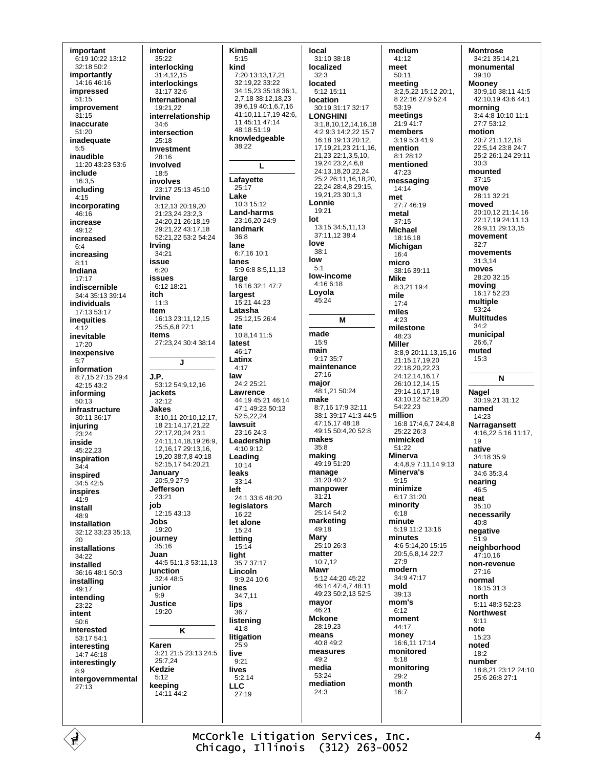important 6:19 10:22 13:12 32:18 50:2 importantly 14:16 46:16 impressed  $51:15$ improvement  $31.15$ inaccurate  $51.20$ inadequate  $5:5$ inaudible 11:20 43:23 53:6 include 16:3.5 includina  $4:15$ incorporating  $46.16$ increase 49:12 increased  $6:4$ increasing  $8:11$ Indiana  $17:17$ indiscernible 34:4 35:13 39:14 individuale 17:13 53:17 inequities  $4:12$ inevitable  $17.20$ inexpensive  $5:7$ information 8:7.15 27:15 29:4  $42.1543.2$ informing  $50.13$ infrastructure 30:11 36:17 injuring  $23.24$ inside 45:22.23 inspiration  $34:4$ inspired 34:5 42:5 inspires  $41.9$ install  $48.9$ installation 32:12 33:23 35:13, 20 installations 34:22 installed 36:16 48:1 50:3 installing 49:17 intending  $23.22$ intent  $50:6$ interested  $53.1754.1$ interesting  $14.746.18$ interestingly  $8.9$ intergovernmental  $27.13$ 

É

interior  $35:22$ interlocking  $31.41215$ interlockings 31:17 32:6 **International** 19:21,22 interrelationship  $34.6$ intersection 25:18 **Investment** 28:16 involved 18:5 involves 23:17 25:13 45:10 **Irvine** 3:12.13 20:19.20  $21.23$   $24$   $23.23$ 24:20 21 26:18 19 29:21.22 43:17.18 52:21,22 53:2 54:24 **Irving**  $34:21$ issue  $6:20$ **issues** 6:12 18:21 itch  $11:3$ item 16:13 23:11 12 15 25:5.6.8 27:1 items 27:23,24 30:4 38:14  $\mathbf{I}$ J.P. 53:12 54:9,12,16 jackets  $32.12$ **Jakes** 3:10,11 20:10,12,17, 18 21:14,17,21,22 22:17,20,24 23:1 24:11.14.18.19.26:9. 12, 16, 17 29: 13, 16, 19 20 38 7 8 40 18 52:15.17 54:20.21 **January**<br>20:5,9 27:9 **Jefferson**  $23.21$ job  $12:15$  43:13 **Jobs** 19:20 journey  $35:16$ Juan 44:5 51:1,3 53:11,13 junction 32:4 48:5 junior  $9.9$ **Justice** 19:20  $\overline{\mathsf{K}}$ Karen 3:21 21:5 23:13 24:5 25:7,24 **Kedzie**  $5.12$ keeping 14:11 44:2

Kimball  $5:15$ 7.20 13:13 17 21 32:19.22 33:22  $34:15.2335:1836:1$ 2 7 18 38 12 18 23 39:6,19 40:1,6,7,16 41:10,11,17,19 42:6, 11 45:11 47:14 48:18 51:19 knowledgeable 38:22 L Lafavette  $25:17$ I ake  $10:3,15:12$ Land-harms 23:16,20 24:9 landmark  $36.8$ 6:7,16 10:1 lanes 5:9 6:8 8:5.11.13 large 16:16 32:1 47:7 largest 15:21 44:23 Latasha 25:12,15 26:4 10:8,14 11:5 latest 46:17 I atinx  $A.17$ 24:2 25:21 Lawrence 44:19 45:21 46:14 47:1 49:23 50:13  $52.52224$ lawsuit 23:16 24:3 Leadership 4:10 9:12 Leading  $10.14$ leaks  $33:14$ 24:1.33:6.48:20 legislators  $16.22$ let alone 15:24 letting  $15.14$ light 35:7 37:17 Lincoln  $9:9,24$  10:6 lines 34:7,11  $36.7$ listening  $41:8$ litigation  $25.9$  $9:21$ lives  $5:2.14$ 27:19

kind

lane

late

law

left

lips

live

**LLC** 

local 31:10 38:18 localized  $32.3$ Incated  $5.1215.11$ location 30:19 31:17 32:17 **LONGHINI** 3:1 8 10 12 14 16 18 4:2 9:3 14:2.22 15:7 16:18 19:13 20:12, 17 19 21 23 21 1 16 21,23 22:1,3,5,10, 19,24 23:2,4,6,8 24:13,18,20,22,24 25:2 26:11,16,18,20, 22,24 28:4,8 29:15, 19.21.23 30:1.3 Lonnie 19:21 lot 13:15 34:5,11,13 37:11,12 38:4 love  $38:1$  $low$  $5:1$ low-income 4:16 6:18 Loyola 45:24 M made  $15:9$ main 9:17 35:7 maintenance  $27.16$ major 48:1,21 50:24 make 8:7,16 17:9 32:11 38:1 39:17 41:3 44:5 47:15,17 48:18 49:15 50:4.20 52:8 makes 35:8 making 49:19 51:20 manage 31:20 40:2 manpower  $31:21$ March 25:14 54:2 marketing 49:18 Mary  $25:1026:3$ matter  $10.712$ Mawr 5:12 44:20 45:22 46:14 47:4,7 48:11 49:23 50:2,13 52:5 mavor 46:21 **Mckone** 28:19.23 means 40:8 49:2 measures  $49.2$ media  $53.24$ mediation  $24.3$ 

medium 41:12 meet  $50:11$ meeting 3:2,5,22 15:12 20:1, 8 22:16 27:9 52:4 53:19 meetings 21:9 41:7 members 3:19 5:3 41:9 mention 8:1 28:12 mentioned 47:23 messaging 14:14 met 27:7 46:19 metal  $37.15$ Michael 18:16,18 Michigan  $16.4$ micro 38:16 39:11 **Mike** 8:3,21 19:4 mile  $17.4$ miles  $4:23$ milestone  $48.23$ **Miller** 3:8.9 20:11.13.15.16 21:15,17,19,20 22:18.20.22.23 24:12,14,16,17 26:10,12,14,15 29:14,16,17,18 43:10,12 52:19,20 54:22.23 million 16:8 17:4 6.7 24:4 8  $25.22.26.3$ mimicked 51:22 **Minerva**  $4:4,8,9$  7:11,14 9:13 Minerva's  $Q.15$ minimize 6:17 31:20 minority  $6.18$ minute 5:19 11:2 13:16 minutes 4:6 5:14,20 15:15 20:5,6,8,14 22:7  $27.9$ modern  $34.947.17$ mold  $39:13$ mom's  $6.12$ moment 44:17 money 16:6,11 17:14 monitored  $5.18$ monitoring  $29.2$ month  $16.7$ 

**Montrose** 34:21 35:14,21 monumental  $39.10$ Mooney 30:9,10 38:11 41:5 42:10,19 43:6 44:1 morning 3:4 4:8 10:10 11:1 27:7 53:12 motion 20:7 21:1,12,18 22:5 14 23:8 24:7 25:2 26:1,24 29:11  $30.3$ mounted  $37.15$ move  $28.11$  32.21 moved 20:10,12 21:14,16 22:17,19 24:11,13 26:9.11.29:13.15 movement  $32.7$ movements  $31:3,14$ moves 28:20 32:15 moving 16:17 52:23 multiple  $53:24$ **Multitudes**  $34.2$ municipal 26:6.7 muted  $15:3$ N **Nagel**  $30.192131.12$ named  $14.23$ Narragansett  $4:16,225:1611:17$ ,  $19$ native  $34.18350$ nature 34:6 35:3,4 nearing  $46.5$ neat 35:10 necessarily  $40.8$ negative  $51:9$ neighborhood 47:10.16 non-revenue  $27:16$ normal  $16:15.31:3$ north 5:11 48:3 52:23 **Northwest**  $9.11$ note  $15:23$ noted  $18:2$ number 18:8,21 23:12 24:10 25:6.26:8.27:1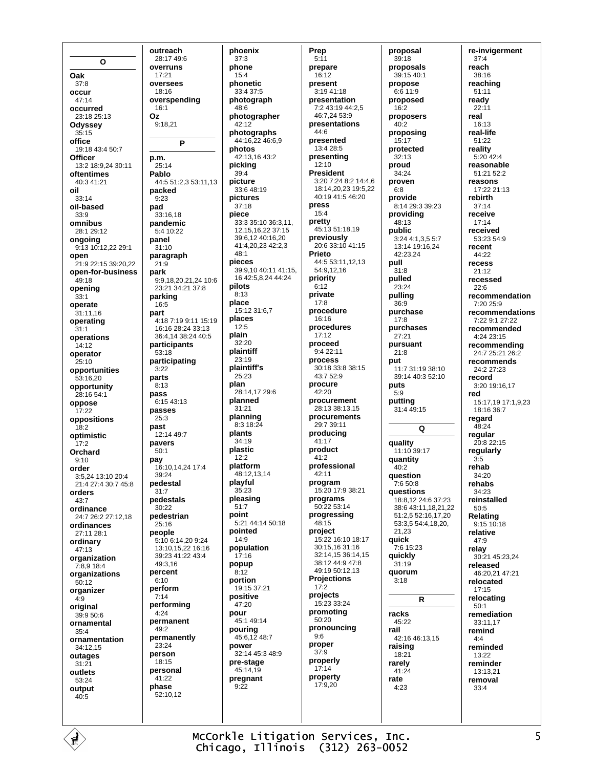$\Omega$ Oak  $37:8$ occur  $47:14$ occurred 23:18 25:13 Odyssey  $35:15$ office 19:18 43:4 50:7 **Officer** 13:2 18:9.24 30:11 oftentimes 40:3 41:21 oil  $33.14$ oil-based  $33:9$ omnibus 28:1 29:12 ongoing 9:13 10:12,22 29:1 open 21:9 22:15 39:20.22 open-for-business  $49.18$ opening  $33.1$ operate  $31:11.16$ operating  $31.1$ operations  $14:12$ operator  $25.10$ opportunities 53:16,20 opportunity 28:16 54:1 oppose  $17:22$ oppositions  $18:2$ optimistic  $17:2$ Orchard  $9.10$ order 3:5,24 13:10 20:4 21:4 27:4 30:7 45:8 orders  $43.7$ ordinance 24:7 26:2 27:12,18 ordinances 27:11 28:1 ordinary  $47.13$ organization 7:8,9 18:4 organizations  $50.12$ organizer  $4:9$ original 39:9 50:6 ornamental  $35:4$ ornamentation 34:12.15 outages  $31:21$ outlets  $53.24$ output  $40.5$ 

outreach 28:17 49:6 overruns  $17.21$ OVALSAAS  $18.16$ overspending 16:1 Oz  $9.1821$ P p.m.  $25.14$ Pablo 44:5 51:2,3 53:11,13 packed  $9.23$ pad 33:16.18 pandemic 5:4 10:22 panel  $31:10$ paragraph  $21:9$ park 9:9 18 20 21 24 10:6 23:21.34:21.37:8 parking 16:5 part 4:18 7:19 9:11 15:19 16:16 28:24 33:13 36:4 14 38:24 40:5 participants 53:18 participating  $3.22$ parts  $8.13$ pass 6:15 43:13 passes  $25:3$ past 12:14 49:7 pavers  $50:1$ pay 16:10.14.24 17:4  $39.24$ pedestal  $31:7$ pedestals  $30:22$ pedestrian  $25.16$ people 5:10 6:14,20 9:24 13:10, 15, 22 16:16 39:23 41:22 43:4  $49.316$ percent  $6.10$ perform  $7:14$ performing  $4.24$ permanent 49:2 permanentlv 23:24 person 18:15 personal 41:22 phase 52:10.12

phoenix  $37:3$ phone  $15.4$ phonetic  $33.4.37.5$ photograph 48:6 photographer  $42.12$ photographs 44:16,22 46:6,9 photos 42:13,16 43:2 picking  $39:4$ picture 33:6 48:19 pictures  $37:18$ piece 33:3 35:10 36:3,11, 12, 15, 16, 22 37: 15 39:6.12 40:16.20 41:4,20,23 42:2,3  $48:1$ pieces 39:9.10 40:11 41:15. 16 42:5.8.24 44:24 pilots  $8:13$ place  $15:1231:67$ places  $12.5$ plain 32:20 plaintiff  $23:19$ plaintiff's  $25.23$ plan 28:14,17 29:6 planned  $31.21$ planning 8:3 18:24 plants  $34.19$ plastic  $12:2$ platform 48:12,13,14 playful  $35.23$ pleasing  $51:7$ point 5:21 44:14 50:18 pointed  $14.9$ population  $17:16$ popup  $8.12$ portion 19:15 37:21 positive  $47.20$ pour  $45.149.14$ pouring 45:6,12 48:7 power 32:14 45:3 48:9 pre-stage 45:14,19 pregnant  $9.22$ 

Prep  $5:11$ prepare  $16.12$ present  $3.1941.18$ presentation 7:2 43:19 44:2,5 46.7.24.53.9 presentations  $44.6$ presented 13:4 28:5 presenting  $12.10$ **President** 3:20 7:24 8:2 14:4.6 18:14,20,23 19:5,22 40:19 41:5 46:20 press  $15:4$ pretty 45:13 51:18,19 previously 20:6 33:10 41:15 Prieto 44:5 53:11 12 13 54:9.12.16 priority  $6.12$ private  $17:8$ procedure  $16.16$ procedures  $17:12$ proceed  $9.422 \cdot 11$ process  $30:183:83:8:15$ 43:7 52:9 procure  $42:20$ procurement 28:13.38:13.15 procurements 29:7 39:11 producing  $41.17$ product 41:2 professional  $42.11$ program 15:20 17:9 38:21 programs 50:22 53:14 progressing 48:15 project 15:22 16:10 18:17 30:15.16 31:16 32:14,15 36:14,15 38:12 44:9 47:8 49:19 50:12,13 **Projections**  $17:2$ projects  $15.23.33.24$ promoting  $50:20$ pronouncing  $9.6$ proper  $37:9$ properly  $17:14$ property 17:9.20

proposal  $39:18$ proposals  $39.1540.1$ propose  $6:6$  11:9 proposed 16:2 proposers  $40.2$ proposing 15:17 protected  $32:13$ proud 34:24 proven  $6:8$ provide 8:14.29:3.39:23 providing 48:13 public 3:24 4:1,3,5 5:7  $13:14$  19:16,24  $42.23.24$ pull  $31:8$ pulled  $23.24$ pulling  $36.9$ purchase  $17:8$ purchases  $27.21$ pursuant  $21.8$ put 11:7 31:19 38:10 39:14 40:3 52:10 puts  $5.9$ putting 31:4 49:15  $\Omega$ quality 11:10 39:17 quantity  $40.2$ question 7:6 50:8 questions 18:8.12 24:6 37:23 38:6 43:11.18.21.22  $51.2552.161720$ 53:3.5 54:4.18.20. 21 23 quick 7:6 15:23 quickly  $31.19$ quorum  $3.18$ R racks 45:22 rail 42:16 46:13.15 raising  $18.21$ rarely  $41:24$ rate  $4.23$ 

re-invigerment  $37:4$ reach  $38.16$ reaching  $51:11$ ready  $22:11$ real  $16.13$ real-life 51:22 reality  $5:20$  42:4 reasonable 51:21 52:2 reasons 17:22 21:13 rebirth  $37:14$ receive  $17.14$ received 53:23 54:9 recent  $44.22$ recess 21:12 recessed  $22.6$ recommendation  $7.20259$ recommendations 7:22 9:1 27:22 recommended  $4.2423.15$ recommending 24:7 25:21 26:2 recommends 24:2 27:23 record 3:20 19:16.17 red 15:17,19 17:1,9,23  $18.16.36.7$ regard 48:24 regular 20:8 22:15 regularly  $3:5$ rehab  $34.20$ rehabs  $34:23$ reinstalled  $50.5$ Relating  $9:1510:18$ relative  $47:9$ relay  $30.2145.2324$ released 46:20.21 47:21 relocated  $17:15$ relocating  $50:1$ remediation  $33:11.17$ remind  $A \cdot A$ reminded 13:22 reminder  $13:13.21$ removal  $33.4$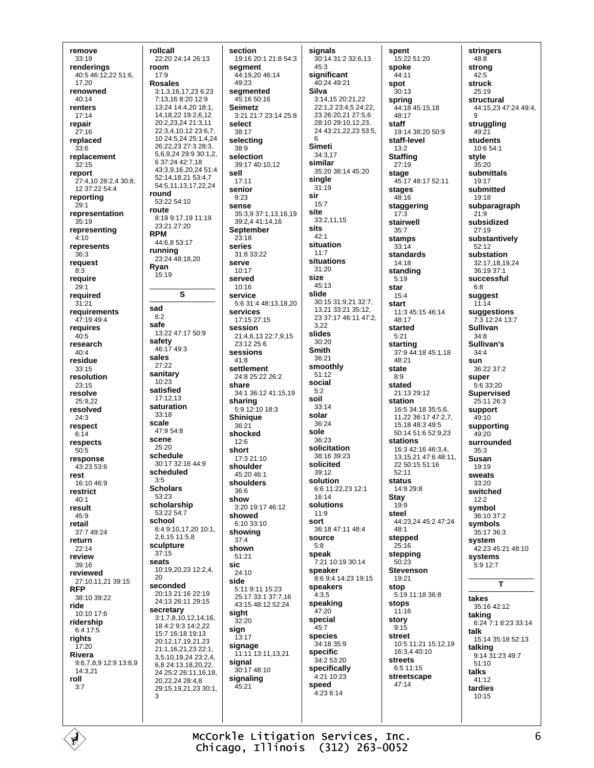remove  $33:19$ renderinas 40:5 46:12,22 51:6, 17.20 renowned  $40.14$ renters  $17.14$ repair  $27.16$ replaced  $33:6$ replacement  $32.15$ report 27:4,10 28:2.4 30:8 12 37:22 54:4 reporting  $29:1$ representation  $35.19$ representing  $4:10$ represents  $36.3$ request  $8:3$ require  $29.1$ required  $31:21$ requirements 47:19 49:4 requires  $40.5$ research  $A \cap A$ residue  $33:15$ resolution  $23.15$ resolve 25:9.22 resolved  $24:3$ respect  $6.14$ respects  $50:5$ response 43:23 53:6 rest 16:10 46:9 restrict  $40.1$ result  $45.9$ retail 37:7 49:24 return  $22:14$ review  $39.16$ reviewed 27:10,11,21 39:15 **RFP** 38:10.39:22 ride 10:10 17:6 ridership 6:4 17:5 rights 17:20 Rivera 9:6,7,8,9 12:9 13:8,9  $14:3,21$ roll  $3.7$ 

Ė

rollcall 22:20 24:14 26:13 room  $17.9$ **Rosales** 3:1,3,16,17,23 6:23  $7.13168.20129$ 13:24 14:4,20 18:1, 14, 18, 22 19: 2, 6, 12 20:2,23,24 21:3,11 22:3,4,10,12 23:6,7, 10 24:5,24 25:1,4,24 26:22,23 27:3 28:3, 5, 6, 9, 24 29: 9 30: 1, 2, 6 37:24 42:7,18 43:3 9 16 20 24 51:4 52:14.18.21 53:4.7 54.5 11 13 17 22 24 round 53:22 54:10 route 8:19 9:17,19 11:19 23:21 27:20 **RPM** 44:6,8 53:17 running 23:24 48:18.20 Ryan  $15:19$ S sad  $6:2$ safe 13:22 47:17 50:9 safety 46:17 49:3 sales 27:22 sanitary  $10:23$ satisfied  $17.1213$ saturation  $33:18$ scale  $47.954.8$ scene  $25:20$ schedule 30:17 32:16 44:9 scheduled  $3.5$ **Scholars** 53:23 scholarship 53:22 54:7 school 6:4 9:10,17,20 10:1, 2,6,15 11:5,8 sculpture  $37.15$ seats 10:19.20.23 12:2.4.  $20$ seconded 20:13 21:16 22:19 24:13 26:11 29:15 secretary  $3:1.7.8.10.12.14.16$ . 18 4:2 9:3 14:2 22 15:7 16:18 19:13 20:12.17.19.21.23 21:1.16.21.23 22:1. 3,5,10,19,24 23:2,4, 6,8 24:13,18,20,22, 24 25:2 26:11,16,18 20,22,24 28:4,8 29:15,19,21,23 30:1, 3

section 19:16 20:1 21:8 54:3 seament 44:19,20 46:14  $49.23$ segmented 45:16 50:16 **Seimetz** 3:21 21:7 23:14 25:8 select  $38.17$ selecting  $38:9$ selection 39:17 40:10 12 sell  $17.11$ senior  $9.23$ **SANSA**  $35:3.937:1.13.16.19$ 39:2.4 41:14.16 September  $23:18$ series 31:8 33:22 serve 10:17 served  $10.16$ service 5:6 31:4 48:13,18,20 services 17:15 27:15 session 21:4,6,13 22:7,9,15 23:12 25:6 sessions  $41:8$ settlement 24.8.25.22.26.2 share 34:1 36:12 41:15,19 sharing 5:9 12:10 18:3 **Shinique** 36:21 shocked  $12.6$ short 17:3 21:10 shoulder  $45.2046.1$ shoulders 36:6 show 3:20 19:17 46:12 howed  $6:10.33:10$ showing  $37:4$ shown  $51:21$  $24.10$ side 5:11 9:11 15:23 25:17 33:1 37:7,16 43:15 48:12 52:24 sight  $32.20$ sign  $13:17$ signage 11:11 13:11.13.21 signal 30:17 48:10 signaling  $45.21$ 

sic

signals 30:14 31:2 32:6,13  $45:3$ significant 40:24 49:21 **Silva** 3:14,15 20:21,22 22:1,2 23:4,5 24:22, 23 26:20,21 27:5,6 28:10 29:10,12,23, 24 43:21, 22, 23 53:5. 6 **Simeti**  $34.317$ similar 35:20 38:14 45:20 single  $31:19$ sir  $15.7$ site 33:2,11,15 sits  $42:1$ situation  $11:7$ situations 31:20 size  $45.13$ slide 30:15 31:9,21 32:7, 13,21 33:21 35:12, 23 37:17 46:11 47:2. 322 slides  $30.20$ **Smith** 36:21 smoothly  $51:12$ social  $5.2$ soil  $33:14$ solar 36:24 sole  $36.23$ solicitation 38:16 39:23 solicited  $39.12$ solution 6:6 11:22,23 12:1 16:14 solutions  $11.9$ sort 36:18 47:11 48:4 source  $5:8$ speak 7:21 10:19 30:14 speaker 8:6 9:4 14:23 19:15 speakers  $4:3.5$ speaking  $47:20$ special  $45.7$ species 34:18 35:9 specific 34:2 53:20 specifically 4:21 10:23 speed  $4.23614$ 

spent 15:22 51:20 spoke  $44.11$ spot  $30.13$ spring 44:18 45:15,18  $48.17$ staff  $19.1438.20509$ staff-level  $13:2$ **Staffing**  $27.19$ stage 45:17 48:17 52:11 stages 48:16 staggering  $17.$ stairwell  $35:7$ stamps  $33.14$ standards 14:18 standing  $5:19$ star  $15:4$ start 11:3 45:15 46:14  $48.17$ started  $5.21$ starting 37:9 44:18 45:1,18 48:21 state  $8.9$ stated  $21.1329.12$ station 16:5 34:18 35:5,6, 11,22 36:17 47:2,7, 15,18 48:3 49:5 50:14 51:6 52:9,23 stations 16:3 42:16 46:3 4 13.15.21 47:6 48:11.  $22.50:15.51:16$  $52.11$ status 14:9 29:8 **Stay**  $19.9$ steel 44:23,24 45:2 47:24  $48:1$ stepped 25:16 stepping  $50.23$ **Stevenson** 19:21 stop 5:19 11:18 36:8 stops 11:16 story  $9.15$ street 10:5 11:21 15:12,19  $16:3440:10$ streets 6:5 11:15 streetscape  $47:14$ 

stringers  $48:8$ strona  $42.5$ struck  $25.19$ structural 44:15,23 47:24 49:4, struggling  $49.21$ students 10:6 54:1 style  $35.20$ submittals  $19.17$ submitted 19:18 subparagraph  $21.9$ subsidized  $27:19$ substantively  $52:12$ substation 32:17.18.19.24 36:19 37:1 successful  $6.8$ suggest  $11:14$ suggestions 7:3 12:24 13:7 **Sullivan**  $34.8$ Sullivan's  $34.4$ sun 36:22 37:2 super  $5.633.20$ **Supervised** 25:11 26:3 support 49:10 supporting  $49.20$ surrounded  $35:3$ Susan 19:19 sweats  $33:20$ switched  $12.2$ symbol 36:10 37.2 symbols 35:17 36:3 system 42:23 45:21 48:10 systems 5:9 12:7 T takes 35:16 42:12 taking 6:24 7:1 8:23 33:14 talk 15:14 35:18 52:13 talking 9:14 31:23 49:7  $51:10$ talks  $41.12$ tardies  $10:15$